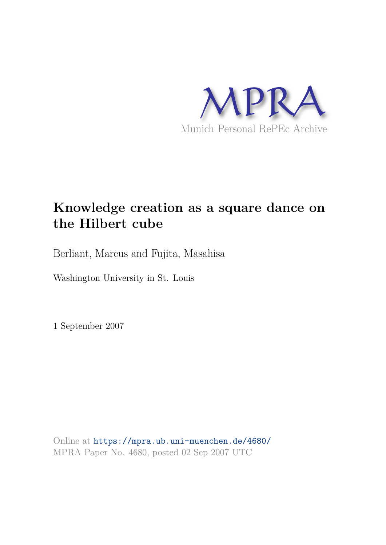

# **Knowledge creation as a square dance on the Hilbert cube**

Berliant, Marcus and Fujita, Masahisa

Washington University in St. Louis

1 September 2007

Online at https://mpra.ub.uni-muenchen.de/4680/ MPRA Paper No. 4680, posted 02 Sep 2007 UTC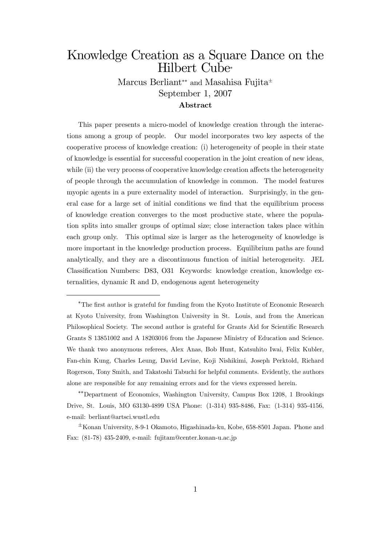# Knowledge Creation as a Square Dance on the Hilbert Cube

Marcus Berliant<sup>\*\*</sup> and Masahisa Fujita<sup> $\pm$ </sup> September 1, 2007 Abstract

This paper presents a micro-model of knowledge creation through the interactions among a group of people. Our model incorporates two key aspects of the cooperative process of knowledge creation: (i) heterogeneity of people in their state of knowledge is essential for successful cooperation in the joint creation of new ideas, while (ii) the very process of cooperative knowledge creation affects the heterogeneity of people through the accumulation of knowledge in common. The model features myopic agents in a pure externality model of interaction. Surprisingly, in the general case for a large set of initial conditions we find that the equilibrium process of knowledge creation converges to the most productive state, where the population splits into smaller groups of optimal size; close interaction takes place within each group only. This optimal size is larger as the heterogeneity of knowledge is more important in the knowledge production process. Equilibrium paths are found analytically, and they are a discontinuous function of initial heterogeneity. JEL Classification Numbers: D83, O31 Keywords: knowledge creation, knowledge externalities, dynamic R and D, endogenous agent heterogeneity

<sup>&</sup>lt;sup>\*</sup>The first author is grateful for funding from the Kyoto Institute of Economic Research at Kyoto University, from Washington University in St. Louis, and from the American Philosophical Society. The second author is grateful for Grants Aid for Scientific Research Grants S 13851002 and A 18203016 from the Japanese Ministry of Education and Science. We thank two anonymous referees, Alex Anas, Bob Hunt, Katsuhito Iwai, Felix Kubler, Fan-chin Kung, Charles Leung, David Levine, Koji Nishikimi, Joseph Perktold, Richard Rogerson, Tony Smith, and Takatoshi Tabuchi for helpful comments. Evidently, the authors alone are responsible for any remaining errors and for the views expressed herein.

<sup>\*\*</sup>Department of Economics, Washington University, Campus Box 1208, 1 Brookings Drive, St. Louis, MO 63130-4899 USA Phone: (1-314) 935-8486, Fax: (1-314) 935-4156, e-mail: berliant@artsci.wustl.edu

 $\pm$ Konan University, 8-9-1 Okamoto, Higashinada-ku, Kobe, 658-8501 Japan. Phone and Fax: (81-78) 435-2409, e-mail: fujitam@center.konan-u.ac.jp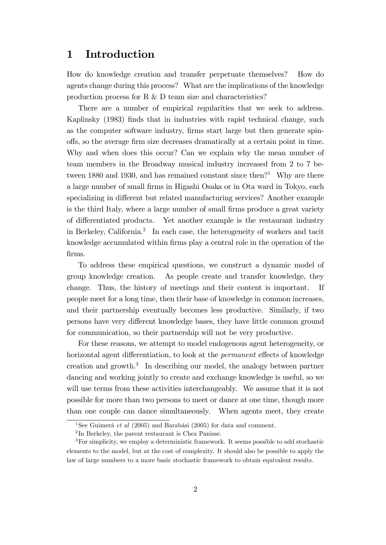### 1 Introduction

How do knowledge creation and transfer perpetuate themselves? How do agents change during this process? What are the implications of the knowledge production process for R & D team size and characteristics?

There are a number of empirical regularities that we seek to address. Kaplinsky (1983) finds that in industries with rapid technical change, such as the computer software industry, firms start large but then generate spino§s, so the average Örm size decreases dramatically at a certain point in time. Why and when does this occur? Can we explain why the mean number of team members in the Broadway musical industry increased from 2 to 7 between 1880 and 1930, and has remained constant since then?<sup>1</sup> Why are there a large number of small firms in Higashi Osaka or in Ota ward in Tokyo, each specializing in different but related manufacturing services? Another example is the third Italy, where a large number of small firms produce a great variety of differentiated products. Yet another example is the restaurant industry in Berkeley, California.<sup>2</sup> In each case, the heterogeneity of workers and tacit knowledge accumulated within firms play a central role in the operation of the firms.

To address these empirical questions, we construct a dynamic model of group knowledge creation. As people create and transfer knowledge, they change. Thus, the history of meetings and their content is important. If people meet for a long time, then their base of knowledge in common increases, and their partnership eventually becomes less productive. Similarly, if two persons have very different knowledge bases, they have little common ground for communication, so their partnership will not be very productive.

For these reasons, we attempt to model endogenous agent heterogeneity, or horizontal agent differentiation, to look at the *permanent* effects of knowledge creation and growth.<sup>3</sup> In describing our model, the analogy between partner dancing and working jointly to create and exchange knowledge is useful, so we will use terms from these activities interchangeably. We assume that it is not possible for more than two persons to meet or dance at one time, though more than one couple can dance simultaneously. When agents meet, they create

<sup>&</sup>lt;sup>1</sup>See Guimerà et al (2005) and Barabási (2005) for data and comment.

<sup>2</sup> In Berkeley, the parent restaurant is Chez Panisse.

<sup>3</sup>For simplicity, we employ a deterministic framework. It seems possible to add stochastic elements to the model, but at the cost of complexity. It should also be possible to apply the law of large numbers to a more basic stochastic framework to obtain equivalent results.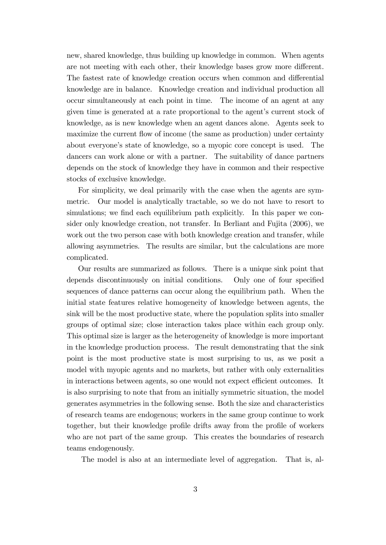new, shared knowledge, thus building up knowledge in common. When agents are not meeting with each other, their knowledge bases grow more different. The fastest rate of knowledge creation occurs when common and differential knowledge are in balance. Knowledge creation and individual production all occur simultaneously at each point in time. The income of an agent at any given time is generated at a rate proportional to the agent's current stock of knowledge, as is new knowledge when an agent dances alone. Agents seek to maximize the current flow of income (the same as production) under certainty about everyone's state of knowledge, so a myopic core concept is used. The dancers can work alone or with a partner. The suitability of dance partners depends on the stock of knowledge they have in common and their respective stocks of exclusive knowledge.

For simplicity, we deal primarily with the case when the agents are symmetric. Our model is analytically tractable, so we do not have to resort to simulations; we find each equilibrium path explicitly. In this paper we consider only knowledge creation, not transfer. In Berliant and Fujita (2006), we work out the two person case with both knowledge creation and transfer, while allowing asymmetries. The results are similar, but the calculations are more complicated.

Our results are summarized as follows. There is a unique sink point that depends discontinuously on initial conditions. Only one of four specified sequences of dance patterns can occur along the equilibrium path. When the initial state features relative homogeneity of knowledge between agents, the sink will be the most productive state, where the population splits into smaller groups of optimal size; close interaction takes place within each group only. This optimal size is larger as the heterogeneity of knowledge is more important in the knowledge production process. The result demonstrating that the sink point is the most productive state is most surprising to us, as we posit a model with myopic agents and no markets, but rather with only externalities in interactions between agents, so one would not expect efficient outcomes. It is also surprising to note that from an initially symmetric situation, the model generates asymmetries in the following sense. Both the size and characteristics of research teams are endogenous; workers in the same group continue to work together, but their knowledge profile drifts away from the profile of workers who are not part of the same group. This creates the boundaries of research teams endogenously.

The model is also at an intermediate level of aggregation. That is, al-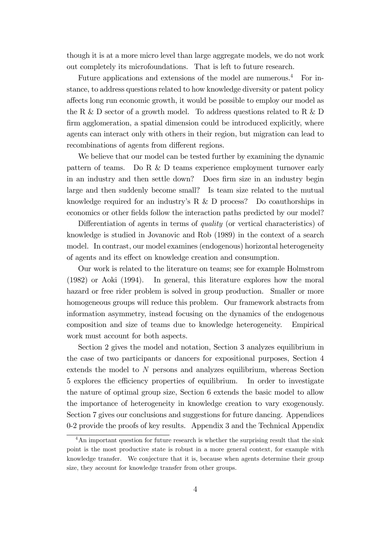though it is at a more micro level than large aggregate models, we do not work out completely its microfoundations. That is left to future research.

Future applications and extensions of the model are numerous.<sup>4</sup> For instance, to address questions related to how knowledge diversity or patent policy a§ects long run economic growth, it would be possible to employ our model as the R  $\&$  D sector of a growth model. To address questions related to R  $\&$  D firm agglomeration, a spatial dimension could be introduced explicitly, where agents can interact only with others in their region, but migration can lead to recombinations of agents from different regions.

We believe that our model can be tested further by examining the dynamic pattern of teams. Do R & D teams experience employment turnover early in an industry and then settle down? Does firm size in an industry begin large and then suddenly become small? Is team size related to the mutual knowledge required for an industry's R  $\&$  D process? Do coauthorships in economics or other fields follow the interaction paths predicted by our model?

Differentiation of agents in terms of *quality* (or vertical characteristics) of knowledge is studied in Jovanovic and Rob (1989) in the context of a search model. In contrast, our model examines (endogenous) horizontal heterogeneity of agents and its effect on knowledge creation and consumption.

Our work is related to the literature on teams; see for example Holmstrom (1982) or Aoki (1994). In general, this literature explores how the moral hazard or free rider problem is solved in group production. Smaller or more homogeneous groups will reduce this problem. Our framework abstracts from information asymmetry, instead focusing on the dynamics of the endogenous composition and size of teams due to knowledge heterogeneity. Empirical work must account for both aspects.

Section 2 gives the model and notation, Section 3 analyzes equilibrium in the case of two participants or dancers for expositional purposes, Section 4 extends the model to N persons and analyzes equilibrium, whereas Section 5 explores the efficiency properties of equilibrium. In order to investigate the nature of optimal group size, Section 6 extends the basic model to allow the importance of heterogeneity in knowledge creation to vary exogenously. Section 7 gives our conclusions and suggestions for future dancing. Appendices 0-2 provide the proofs of key results. Appendix 3 and the Technical Appendix

<sup>&</sup>lt;sup>4</sup>An important question for future research is whether the surprising result that the sink point is the most productive state is robust in a more general context, for example with knowledge transfer. We conjecture that it is, because when agents determine their group size, they account for knowledge transfer from other groups.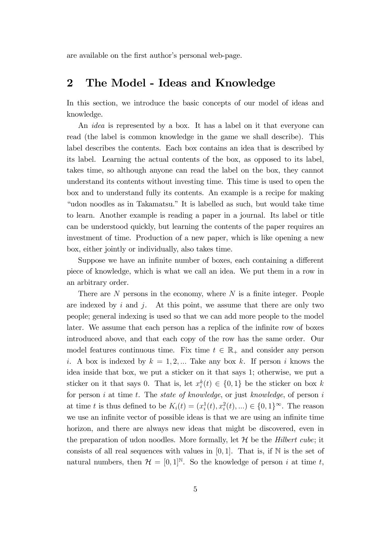are available on the first author's personal web-page.

## 2 The Model - Ideas and Knowledge

In this section, we introduce the basic concepts of our model of ideas and knowledge.

An idea is represented by a box. It has a label on it that everyone can read (the label is common knowledge in the game we shall describe). This label describes the contents. Each box contains an idea that is described by its label. Learning the actual contents of the box, as opposed to its label, takes time, so although anyone can read the label on the box, they cannot understand its contents without investing time. This time is used to open the box and to understand fully its contents. An example is a recipe for making "udon noodles as in Takamatsu." It is labelled as such, but would take time to learn. Another example is reading a paper in a journal. Its label or title can be understood quickly, but learning the contents of the paper requires an investment of time. Production of a new paper, which is like opening a new box, either jointly or individually, also takes time.

Suppose we have an infinite number of boxes, each containing a different piece of knowledge, which is what we call an idea. We put them in a row in an arbitrary order.

There are  $N$  persons in the economy, where  $N$  is a finite integer. People are indexed by  $i$  and  $j$ . At this point, we assume that there are only two people; general indexing is used so that we can add more people to the model later. We assume that each person has a replica of the infinite row of boxes introduced above, and that each copy of the row has the same order. Our model features continuous time. Fix time  $t \in \mathbb{R}_+$  and consider any person i. A box is indexed by  $k = 1, 2, ...$  Take any box k. If person i knows the idea inside that box, we put a sticker on it that says 1; otherwise, we put a sticker on it that says 0. That is, let  $x_i^k(t) \in \{0,1\}$  be the sticker on box k for person  $i$  at time  $t$ . The *state of knowledge*, or just *knowledge*, of person  $i$ at time t is thus defined to be  $K_i(t) = (x_i^1(t), x_i^2(t), ...) \in \{0, 1\}^{\infty}$ . The reason we use an infinite vector of possible ideas is that we are using an infinite time horizon, and there are always new ideas that might be discovered, even in the preparation of udon noodles. More formally, let  $H$  be the *Hilbert cube*; it consists of all real sequences with values in  $[0, 1]$ . That is, if  $\mathbb N$  is the set of natural numbers, then  $\mathcal{H} = [0,1]^{\mathbb{N}}$ . So the knowledge of person i at time t,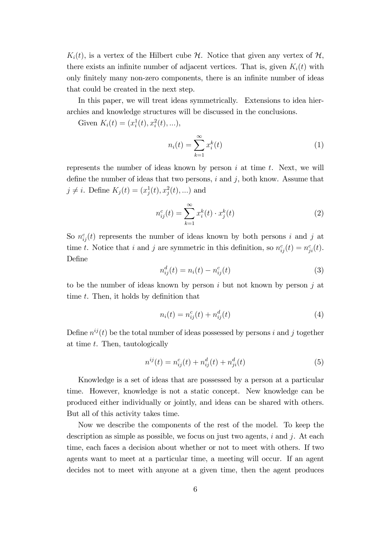$K_i(t)$ , is a vertex of the Hilbert cube  $\mathcal{H}$ . Notice that given any vertex of  $\mathcal{H}$ , there exists an infinite number of adjacent vertices. That is, given  $K_i(t)$  with only finitely many non-zero components, there is an infinite number of ideas that could be created in the next step.

In this paper, we will treat ideas symmetrically. Extensions to idea hierarchies and knowledge structures will be discussed in the conclusions.

Given  $K_i(t) = (x_i^1(t), x_i^2(t), \ldots),$ 

$$
n_i(t) = \sum_{k=1}^{\infty} x_i^k(t)
$$
\n(1)

represents the number of ideas known by person  $i$  at time  $t$ . Next, we will define the number of ideas that two persons,  $i$  and  $j$ , both know. Assume that  $j \neq i$ . Define  $K_j(t) = (x_j^1(t), x_j^2(t), ...)$  and

$$
n_{ij}^{c}(t) = \sum_{k=1}^{\infty} x_{i}^{k}(t) \cdot x_{j}^{k}(t)
$$
 (2)

So  $n_{ij}^c(t)$  represents the number of ideas known by both persons i and j at time t. Notice that i and j are symmetric in this definition, so  $n_{ij}^c(t) = n_{ji}^c(t)$ . Define

$$
n_{ij}^d(t) = n_i(t) - n_{ij}^c(t)
$$
\n(3)

to be the number of ideas known by person  $i$  but not known by person  $j$  at time  $t$ . Then, it holds by definition that

$$
n_i(t) = n_{ij}^c(t) + n_{ij}^d(t)
$$
\n(4)

Define  $n^{ij}(t)$  be the total number of ideas possessed by persons i and j together at time t. Then, tautologically

$$
n^{ij}(t) = n_{ij}^c(t) + n_{ij}^d(t) + n_{ji}^d(t)
$$
\n(5)

Knowledge is a set of ideas that are possessed by a person at a particular time. However, knowledge is not a static concept. New knowledge can be produced either individually or jointly, and ideas can be shared with others. But all of this activity takes time.

Now we describe the components of the rest of the model. To keep the description as simple as possible, we focus on just two agents,  $i$  and  $j$ . At each time, each faces a decision about whether or not to meet with others. If two agents want to meet at a particular time, a meeting will occur. If an agent decides not to meet with anyone at a given time, then the agent produces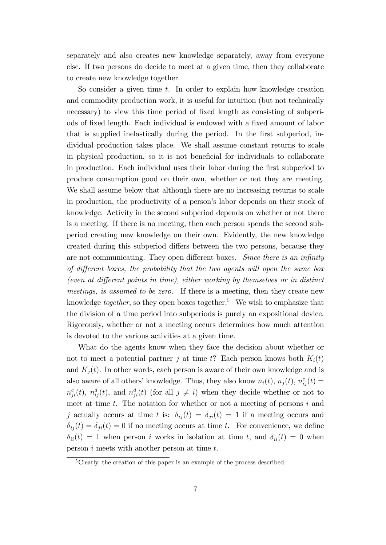separately and also creates new knowledge separately, away from everyone else. If two persons do decide to meet at a given time, then they collaborate to create new knowledge together.

So consider a given time  $t$ . In order to explain how knowledge creation and commodity production work, it is useful for intuition (but not technically necessary) to view this time period of fixed length as consisting of subperiods of fixed length. Each individual is endowed with a fixed amount of labor that is supplied inelastically during the period. In the first subperiod, individual production takes place. We shall assume constant returns to scale in physical production, so it is not beneficial for individuals to collaborate in production. Each individual uses their labor during the Örst subperiod to produce consumption good on their own, whether or not they are meeting. We shall assume below that although there are no increasing returns to scale in production, the productivity of a person's labor depends on their stock of knowledge. Activity in the second subperiod depends on whether or not there is a meeting. If there is no meeting, then each person spends the second subperiod creating new knowledge on their own. Evidently, the new knowledge created during this subperiod differs between the two persons, because they are not communicating. They open different boxes. Since there is an infinity of different boxes, the probability that the two agents will open the same box (even at different points in time), either working by themselves or in distinct meetings, is assumed to be zero. If there is a meeting, then they create new knowledge *together*, so they open boxes together.<sup>5</sup> We wish to emphasize that the division of a time period into subperiods is purely an expositional device. Rigorously, whether or not a meeting occurs determines how much attention is devoted to the various activities at a given time.

What do the agents know when they face the decision about whether or not to meet a potential partner j at time t? Each person knows both  $K_i(t)$ and  $K_i(t)$ . In other words, each person is aware of their own knowledge and is also aware of all others' knowledge. Thus, they also know  $n_i(t)$ ,  $n_j(t)$ ,  $n_{ij}^c(t)$  =  $n_{ji}^c(t)$ ,  $n_{ij}^d(t)$ , and  $n_{ji}^d(t)$  (for all  $j \neq i$ ) when they decide whether or not to meet at time t. The notation for whether or not a meeting of persons  $i$  and j actually occurs at time t is:  $\delta_{ij}(t) = \delta_{ji}(t) = 1$  if a meeting occurs and  $\delta_{ij}(t) = \delta_{ji}(t) = 0$  if no meeting occurs at time t. For convenience, we define  $\delta_{ii}(t) = 1$  when person i works in isolation at time t, and  $\delta_{ii}(t) = 0$  when person  $i$  meets with another person at time  $t$ .

<sup>&</sup>lt;sup>5</sup>Clearly, the creation of this paper is an example of the process described.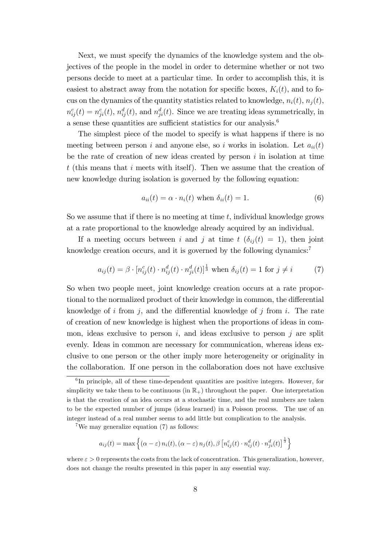Next, we must specify the dynamics of the knowledge system and the objectives of the people in the model in order to determine whether or not two persons decide to meet at a particular time. In order to accomplish this, it is easiest to abstract away from the notation for specific boxes,  $K_i(t)$ , and to focus on the dynamics of the quantity statistics related to knowledge,  $n_i(t)$ ,  $n_j(t)$ ,  $n_{ij}^c(t) = n_{ji}^c(t)$ ,  $n_{ij}^d(t)$ , and  $n_{ji}^d(t)$ . Since we are treating ideas symmetrically, in a sense these quantities are sufficient statistics for our analysis.<sup>6</sup>

The simplest piece of the model to specify is what happens if there is no meeting between person i and anyone else, so i works in isolation. Let  $a_{ii}(t)$ be the rate of creation of new ideas created by person  $i$  in isolation at time t (this means that i meets with itself). Then we assume that the creation of new knowledge during isolation is governed by the following equation:

$$
a_{ii}(t) = \alpha \cdot n_i(t) \text{ when } \delta_{ii}(t) = 1. \tag{6}
$$

So we assume that if there is no meeting at time  $t$ , individual knowledge grows at a rate proportional to the knowledge already acquired by an individual.

If a meeting occurs between i and j at time t  $(\delta_{ij}(t) = 1)$ , then joint knowledge creation occurs, and it is governed by the following dynamics:<sup>7</sup>

$$
a_{ij}(t) = \beta \cdot [n_{ij}^c(t) \cdot n_{ij}^d(t) \cdot n_{ji}^d(t)]^{\frac{1}{3}} \text{ when } \delta_{ij}(t) = 1 \text{ for } j \neq i \tag{7}
$$

So when two people meet, joint knowledge creation occurs at a rate proportional to the normalized product of their knowledge in common, the differential knowledge of i from j, and the differential knowledge of j from i. The rate of creation of new knowledge is highest when the proportions of ideas in common, ideas exclusive to person i, and ideas exclusive to person j are split evenly. Ideas in common are necessary for communication, whereas ideas exclusive to one person or the other imply more heterogeneity or originality in the collaboration. If one person in the collaboration does not have exclusive

$$
a_{ij}(t) = \max \left\{ (\alpha - \varepsilon) n_i(t), (\alpha - \varepsilon) n_j(t), \beta \left[ n_{ij}^c(t) \cdot n_{ij}^d(t) \cdot n_{ji}^d(t) \right]^{\frac{1}{3}} \right\}
$$

where  $\varepsilon > 0$  represents the costs from the lack of concentration. This generalization, however, does not change the results presented in this paper in any essential way.

<sup>&</sup>lt;sup>6</sup>In principle, all of these time-dependent quantities are positive integers. However, for simplicity we take them to be continuous (in  $\mathbb{R}_+$ ) throughout the paper. One interpretation is that the creation of an idea occurs at a stochastic time, and the real numbers are taken to be the expected number of jumps (ideas learned) in a Poisson process. The use of an integer instead of a real number seems to add little but complication to the analysis.

<sup>7</sup>We may generalize equation (7) as follows: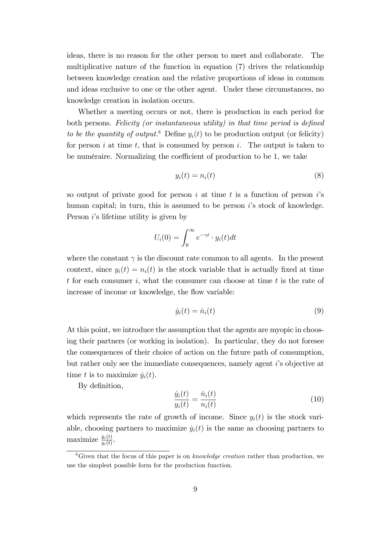ideas, there is no reason for the other person to meet and collaborate. The multiplicative nature of the function in equation (7) drives the relationship between knowledge creation and the relative proportions of ideas in common and ideas exclusive to one or the other agent. Under these circumstances, no knowledge creation in isolation occurs.

Whether a meeting occurs or not, there is production in each period for both persons. Felicity (or instantaneous utility) in that time period is defined to be the quantity of output.<sup>8</sup> Define  $y_i(t)$  to be production output (or felicity) for person  $i$  at time  $t$ , that is consumed by person  $i$ . The output is taken to be numéraire. Normalizing the coefficient of production to be 1, we take

$$
y_i(t) = n_i(t) \tag{8}
$$

so output of private good for person i at time t is a function of person is human capital; in turn, this is assumed to be person is stock of knowledge. Person  $i$ 's lifetime utility is given by

$$
U_i(0) = \int_0^\infty e^{-\gamma t} \cdot y_i(t) dt
$$

where the constant  $\gamma$  is the discount rate common to all agents. In the present context, since  $y_i(t) = n_i(t)$  is the stock variable that is actually fixed at time t for each consumer  $i$ , what the consumer can choose at time t is the rate of increase of income or knowledge, the flow variable:

$$
\dot{y}_i(t) = \dot{n}_i(t) \tag{9}
$$

At this point, we introduce the assumption that the agents are myopic in choosing their partners (or working in isolation). In particular, they do not foresee the consequences of their choice of action on the future path of consumption, but rather only see the immediate consequences, namely agent iís objective at time t is to maximize  $\dot{y}_i(t)$ .

By definition,

$$
\frac{\dot{y}_i(t)}{y_i(t)} = \frac{\dot{n}_i(t)}{n_i(t)}\tag{10}
$$

which represents the rate of growth of income. Since  $y_i(t)$  is the stock variable, choosing partners to maximize  $\dot{y}_i(t)$  is the same as choosing partners to maximize  $\frac{\dot{y}_i(t)}{y_i(t)}$ .

 ${}^8$ Given that the focus of this paper is on knowledge creation rather than production, we use the simplest possible form for the production function.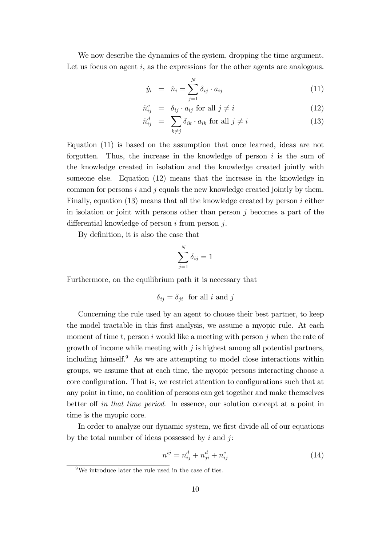We now describe the dynamics of the system, dropping the time argument. Let us focus on agent  $i$ , as the expressions for the other agents are analogous.

$$
\dot{y}_i = \dot{n}_i = \sum_{j=1}^N \delta_{ij} \cdot a_{ij} \tag{11}
$$

$$
\dot{n}_{ij}^c = \delta_{ij} \cdot a_{ij} \text{ for all } j \neq i \tag{12}
$$

$$
\dot{n}_{ij}^d = \sum_{k \neq j} \delta_{ik} \cdot a_{ik} \text{ for all } j \neq i \tag{13}
$$

Equation (11) is based on the assumption that once learned, ideas are not forgotten. Thus, the increase in the knowledge of person  $i$  is the sum of the knowledge created in isolation and the knowledge created jointly with someone else. Equation (12) means that the increase in the knowledge in common for persons  $i$  and  $j$  equals the new knowledge created jointly by them. Finally, equation  $(13)$  means that all the knowledge created by person i either in isolation or joint with persons other than person  $j$  becomes a part of the differential knowledge of person i from person j.

By definition, it is also the case that

$$
\sum_{j=1}^N \delta_{ij} = 1
$$

Furthermore, on the equilibrium path it is necessary that

$$
\delta_{ij} = \delta_{ji} \text{ for all } i \text{ and } j
$$

Concerning the rule used by an agent to choose their best partner, to keep the model tractable in this first analysis, we assume a myopic rule. At each moment of time t, person i would like a meeting with person j when the rate of growth of income while meeting with  $j$  is highest among all potential partners, including himself.<sup>9</sup> As we are attempting to model close interactions within groups, we assume that at each time, the myopic persons interacting choose a core configuration. That is, we restrict attention to configurations such that at any point in time, no coalition of persons can get together and make themselves better off in that time period. In essence, our solution concept at a point in time is the myopic core.

In order to analyze our dynamic system, we first divide all of our equations by the total number of ideas possessed by  $i$  and  $j$ :

$$
n^{ij} = n_{ij}^d + n_{ji}^d + n_{ij}^c
$$
 (14)

 $9\,\text{We introduce later the rule used in the case of ties.}$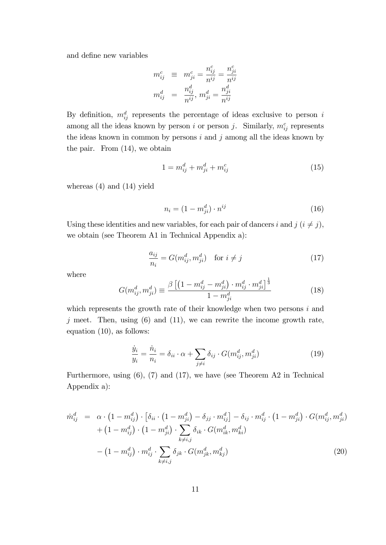and deÖne new variables

$$
m_{ij}^c \equiv m_{ji}^c = \frac{n_{ij}^c}{n^{ij}} = \frac{n_{ji}^c}{n^{ij}}
$$
  

$$
m_{ij}^d \equiv \frac{n_{ij}^d}{n^{ij}}, \, m_{ji}^d = \frac{n_{ji}^d}{n^{ij}}
$$

By definition,  $m_{ij}^d$  represents the percentage of ideas exclusive to person i among all the ideas known by person i or person j. Similarly,  $m_{ij}^c$  represents the ideas known in common by persons  $i$  and  $j$  among all the ideas known by the pair. From (14), we obtain

$$
1 = m_{ij}^d + m_{ji}^d + m_{ij}^c
$$
 (15)

whereas  $(4)$  and  $(14)$  yield

$$
n_i = (1 - m_{ji}^d) \cdot n^{ij} \tag{16}
$$

Using these identities and new variables, for each pair of dancers i and j  $(i \neq j)$ , we obtain (see Theorem A1 in Technical Appendix a):

$$
\frac{a_{ij}}{n_i} = G(m_{ij}^d, m_{ji}^d) \quad \text{for } i \neq j \tag{17}
$$

where

$$
G(m_{ij}^d, m_{ji}^d) \equiv \frac{\beta \left[ \left( 1 - m_{ij}^d - m_{ji}^d \right) \cdot m_{ij}^d \cdot m_{ji}^d \right]^{\frac{1}{3}}}{1 - m_{ji}^d}
$$
(18)

which represents the growth rate of their knowledge when two persons  $i$  and j meet. Then, using  $(6)$  and  $(11)$ , we can rewrite the income growth rate, equation (10), as follows:

$$
\frac{\dot{y}_i}{y_i} = \frac{\dot{n}_i}{n_i} = \delta_{ii} \cdot \alpha + \sum_{j \neq i} \delta_{ij} \cdot G(m_{ij}^d, m_{ji}^d)
$$
\n(19)

Furthermore, using (6), (7) and (17), we have (see Theorem A2 in Technical Appendix a):

$$
\dot{m}_{ij}^{d} = \alpha \cdot (1 - m_{ij}^{d}) \cdot [\delta_{ii} \cdot (1 - m_{ji}^{d}) - \delta_{jj} \cdot m_{ij}^{d}] - \delta_{ij} \cdot m_{ij}^{d} \cdot (1 - m_{ji}^{d}) \cdot G(m_{ij}^{d}, m_{ji}^{d}) \n+ (1 - m_{ij}^{d}) \cdot (1 - m_{ji}^{d}) \cdot \sum_{k \neq i,j} \delta_{ik} \cdot G(m_{ik}^{d}, m_{ki}^{d}) \n- (1 - m_{ij}^{d}) \cdot m_{ij}^{d} \cdot \sum_{k \neq i,j} \delta_{jk} \cdot G(m_{jk}^{d}, m_{kj}^{d})
$$
\n(20)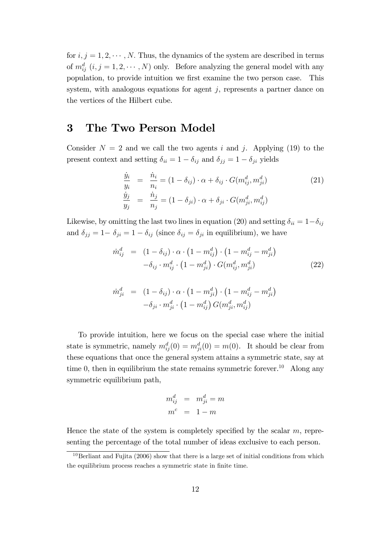for  $i, j = 1, 2, \dots, N$ . Thus, the dynamics of the system are described in terms of  $m_{ij}^d$   $(i, j = 1, 2, \dots, N)$  only. Before analyzing the general model with any population, to provide intuition we first examine the two person case. This system, with analogous equations for agent  $j$ , represents a partner dance on the vertices of the Hilbert cube.

## 3 The Two Person Model

Consider  $N = 2$  and we call the two agents i and j. Applying (19) to the present context and setting  $\delta_{ii} = 1 - \delta_{ij}$  and  $\delta_{jj} = 1 - \delta_{ji}$  yields

$$
\frac{\dot{y}_i}{y_i} = \frac{\dot{n}_i}{n_i} = (1 - \delta_{ij}) \cdot \alpha + \delta_{ij} \cdot G(m_{ij}^d, m_{ji}^d)
$$
\n
$$
\frac{\dot{y}_j}{y_j} = \frac{\dot{n}_j}{n_j} = (1 - \delta_{ji}) \cdot \alpha + \delta_{ji} \cdot G(m_{ji}^d, m_{ij}^d)
$$
\n(21)

Likewise, by omitting the last two lines in equation (20) and setting  $\delta_{ii} = 1 - \delta_{ij}$ and  $\delta_{jj} = 1 - \delta_{ji} = 1 - \delta_{ij}$  (since  $\delta_{ij} = \delta_{ji}$  in equilibrium), we have

$$
\dot{m}_{ij}^d = (1 - \delta_{ij}) \cdot \alpha \cdot (1 - m_{ij}^d) \cdot (1 - m_{ij}^d - m_{ji}^d) \n- \delta_{ij} \cdot m_{ij}^d \cdot (1 - m_{ji}^d) \cdot G(m_{ij}^d, m_{ji}^d)
$$
\n(22)

$$
\dot{m}_{ji}^{d} = (1 - \delta_{ij}) \cdot \alpha \cdot (1 - m_{ji}^{d}) \cdot (1 - m_{ij}^{d} - m_{ji}^{d}) \n- \delta_{ji} \cdot m_{ji}^{d} \cdot (1 - m_{ij}^{d}) G(m_{ji}^{d}, m_{ij}^{d})
$$

To provide intuition, here we focus on the special case where the initial state is symmetric, namely  $m_{ij}^d(0) = m_{ji}^d(0) = m(0)$ . It should be clear from these equations that once the general system attains a symmetric state, say at time 0, then in equilibrium the state remains symmetric forever.<sup>10</sup> Along any symmetric equilibrium path,

$$
m_{ij}^d = m_{ji}^d = m
$$

$$
m^c = 1 - m
$$

Hence the state of the system is completely specified by the scalar  $m$ , representing the percentage of the total number of ideas exclusive to each person.

 $10$ Berliant and Fujita (2006) show that there is a large set of initial conditions from which the equilibrium process reaches a symmetric state in finite time.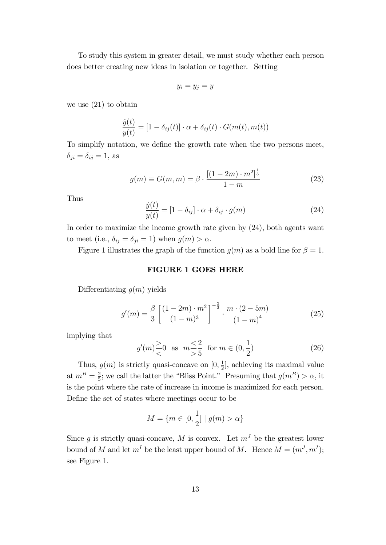To study this system in greater detail, we must study whether each person does better creating new ideas in isolation or together. Setting

$$
y_i=y_j=y
$$

we use (21) to obtain

$$
\frac{\dot{y}(t)}{y(t)} = [1 - \delta_{ij}(t)] \cdot \alpha + \delta_{ij}(t) \cdot G(m(t), m(t))
$$

To simplify notation, we define the growth rate when the two persons meet,  $\delta_{ji} = \delta_{ij} = 1$ , as

$$
g(m) \equiv G(m, m) = \beta \cdot \frac{[(1 - 2m) \cdot m^2]^{\frac{1}{3}}}{1 - m}
$$
 (23)

Thus

$$
\frac{\dot{y}(t)}{y(t)} = [1 - \delta_{ij}] \cdot \alpha + \delta_{ij} \cdot g(m)
$$
\n(24)

In order to maximize the income growth rate given by (24), both agents want to meet (i.e.,  $\delta_{ij} = \delta_{ji} = 1$ ) when  $g(m) > \alpha$ .

Figure 1 illustrates the graph of the function  $g(m)$  as a bold line for  $\beta = 1$ .

#### FIGURE 1 GOES HERE

Differentiating  $g(m)$  yields

$$
g'(m) = \frac{\beta}{3} \left[ \frac{(1-2m)\cdot m^2}{(1-m)^3} \right]^{-\frac{2}{3}} \cdot \frac{m\cdot (2-5m)}{(1-m)^4}
$$
 (25)

implying that

$$
g'(m) \geq 0
$$
 as  $m \leq \frac{2}{5}$  for  $m \in (0, \frac{1}{2})$  (26)

Thus,  $g(m)$  is strictly quasi-concave on  $[0, \frac{1}{2}]$  $\frac{1}{2}$ , achieving its maximal value at  $m^B = \frac{2}{5}$  $\frac{2}{5}$ ; we call the latter the "Bliss Point." Presuming that  $g(m^B) > \alpha$ , it is the point where the rate of increase in income is maximized for each person. Define the set of states where meetings occur to be

$$
M = \{ m \in [0, \frac{1}{2}] \mid g(m) > \alpha \}
$$

Since g is strictly quasi-concave, M is convex. Let  $m<sup>J</sup>$  be the greatest lower bound of M and let  $m<sup>I</sup>$  be the least upper bound of M. Hence  $M = (m<sup>J</sup>, m<sup>I</sup>)$ ; see Figure 1.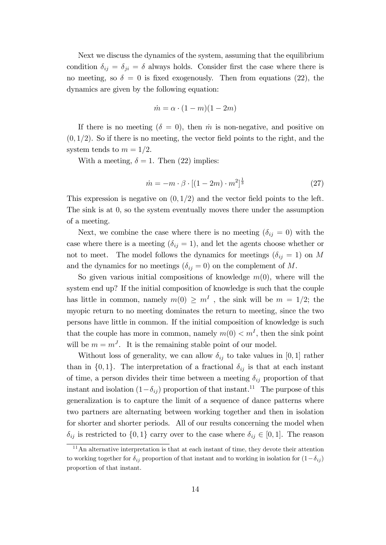Next we discuss the dynamics of the system, assuming that the equilibrium condition  $\delta_{ij} = \delta_{ji} = \delta$  always holds. Consider first the case where there is no meeting, so  $\delta = 0$  is fixed exogenously. Then from equations (22), the dynamics are given by the following equation:

$$
\dot{m} = \alpha \cdot (1 - m)(1 - 2m)
$$

If there is no meeting  $(\delta = 0)$ , then m is non-negative, and positive on  $(0, 1/2)$ . So if there is no meeting, the vector field points to the right, and the system tends to  $m = 1/2$ .

With a meeting,  $\delta = 1$ . Then (22) implies:

$$
\dot{m} = -m \cdot \beta \cdot [(1 - 2m) \cdot m^2]^{\frac{1}{3}} \tag{27}
$$

This expression is negative on  $(0, 1/2)$  and the vector field points to the left. The sink is at 0, so the system eventually moves there under the assumption of a meeting.

Next, we combine the case where there is no meeting  $(\delta_{ij} = 0)$  with the case where there is a meeting  $(\delta_{ij} = 1)$ , and let the agents choose whether or not to meet. The model follows the dynamics for meetings  $(\delta_{ij} = 1)$  on M and the dynamics for no meetings  $(\delta_{ij} = 0)$  on the complement of M.

So given various initial compositions of knowledge  $m(0)$ , where will the system end up? If the initial composition of knowledge is such that the couple has little in common, namely  $m(0) \geq m<sup>I</sup>$ , the sink will be  $m = 1/2$ ; the myopic return to no meeting dominates the return to meeting, since the two persons have little in common. If the initial composition of knowledge is such that the couple has more in common, namely  $m(0) < m<sup>I</sup>$ , then the sink point will be  $m = m<sup>J</sup>$ . It is the remaining stable point of our model.

Without loss of generality, we can allow  $\delta_{ij}$  to take values in [0, 1] rather than in  $\{0,1\}$ . The interpretation of a fractional  $\delta_{ij}$  is that at each instant of time, a person divides their time between a meeting  $\delta_{ij}$  proportion of that instant and isolation  $(1-\delta_{ij})$  proportion of that instant.<sup>11</sup> The purpose of this generalization is to capture the limit of a sequence of dance patterns where two partners are alternating between working together and then in isolation for shorter and shorter periods. All of our results concerning the model when  $\delta_{ij}$  is restricted to  $\{0,1\}$  carry over to the case where  $\delta_{ij} \in [0, 1]$ . The reason

 $11$ An alternative interpretation is that at each instant of time, they devote their attention to working together for  $\delta_{ij}$  proportion of that instant and to working in isolation for  $(1-\delta_{ij})$ proportion of that instant.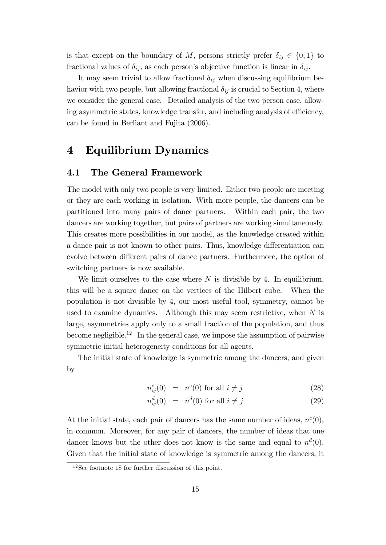is that except on the boundary of M, persons strictly prefer  $\delta_{ij} \in \{0, 1\}$  to fractional values of  $\delta_{ij}$ , as each person's objective function is linear in  $\delta_{ij}$ .

It may seem trivial to allow fractional  $\delta_{ij}$  when discussing equilibrium behavior with two people, but allowing fractional  $\delta_{ij}$  is crucial to Section 4, where we consider the general case. Detailed analysis of the two person case, allowing asymmetric states, knowledge transfer, and including analysis of efficiency, can be found in Berliant and Fujita (2006).

## 4 Equilibrium Dynamics

#### 4.1 The General Framework

The model with only two people is very limited. Either two people are meeting or they are each working in isolation. With more people, the dancers can be partitioned into many pairs of dance partners. Within each pair, the two dancers are working together, but pairs of partners are working simultaneously. This creates more possibilities in our model, as the knowledge created within a dance pair is not known to other pairs. Thus, knowledge differentiation can evolve between different pairs of dance partners. Furthermore, the option of switching partners is now available.

We limit ourselves to the case where  $N$  is divisible by 4. In equilibrium, this will be a square dance on the vertices of the Hilbert cube. When the population is not divisible by 4, our most useful tool, symmetry, cannot be used to examine dynamics. Although this may seem restrictive, when  $N$  is large, asymmetries apply only to a small fraction of the population, and thus become negligible.<sup>12</sup> In the general case, we impose the assumption of pairwise symmetric initial heterogeneity conditions for all agents.

The initial state of knowledge is symmetric among the dancers, and given by

$$
n_{ij}^c(0) = n^c(0) \text{ for all } i \neq j \tag{28}
$$

$$
n_{ij}^d(0) = n^d(0) \text{ for all } i \neq j \tag{29}
$$

At the initial state, each pair of dancers has the same number of ideas,  $n<sup>c</sup>(0)$ , in common. Moreover, for any pair of dancers, the number of ideas that one dancer knows but the other does not know is the same and equal to  $n<sup>d</sup>(0)$ . Given that the initial state of knowledge is symmetric among the dancers, it

<sup>12</sup>See footnote 18 for further discussion of this point.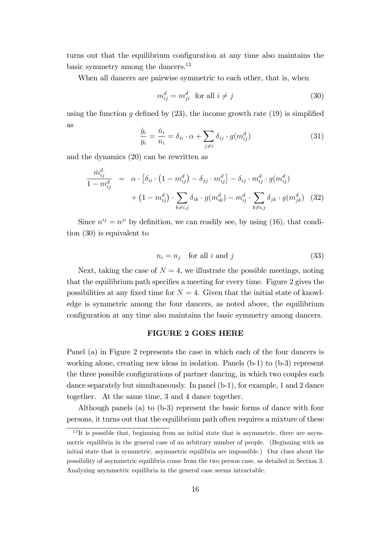turns out that the equilibrium configuration at any time also maintains the basic symmetry among the dancers.<sup>13</sup>

When all dancers are pairwise symmetric to each other, that is, when

$$
m_{ij}^d = m_{ji}^d \quad \text{for all } i \neq j \tag{30}
$$

using the function q defined by  $(23)$ , the income growth rate  $(19)$  is simplified as

$$
\frac{\dot{y}_i}{y_i} = \frac{\dot{n}_i}{n_i} = \delta_{ii} \cdot \alpha + \sum_{j \neq i} \delta_{ij} \cdot g(m_{ij}^d)
$$
\n(31)

and the dynamics (20) can be rewritten as

$$
\frac{\dot{m}_{ij}^d}{1 - m_{ij}^d} = \alpha \cdot \left[ \delta_{ii} \cdot \left( 1 - m_{ij}^d \right) - \delta_{jj} \cdot m_{ij}^d \right] - \delta_{ij} \cdot m_{ij}^d \cdot g(m_{ij}^d)
$$

$$
+ \left( 1 - m_{ij}^d \right) \cdot \sum_{k \neq i,j} \delta_{ik} \cdot g(m_{ik}^d) - m_{ij}^d \cdot \sum_{k \neq i,j} \delta_{jk} \cdot g(m_{jk}^d) \quad (32)
$$

Since  $n^{ij} = n^{ji}$  by definition, we can readily see, by using (16), that condition (30) is equivalent to

$$
n_i = n_j \quad \text{for all } i \text{ and } j \tag{33}
$$

Next, taking the case of  $N = 4$ , we illustrate the possible meetings, noting that the equilibrium path specifies a meeting for every time. Figure 2 gives the possibilities at any fixed time for  $N = 4$ . Given that the initial state of knowledge is symmetric among the four dancers, as noted above, the equilibrium configuration at any time also maintains the basic symmetry among dancers.

#### FIGURE 2 GOES HERE

Panel (a) in Figure 2 represents the case in which each of the four dancers is working alone, creating new ideas in isolation. Panels (b-1) to (b-3) represent the three possible configurations of partner dancing, in which two couples each dance separately but simultaneously. In panel (b-1), for example, 1 and 2 dance together. At the same time, 3 and 4 dance together.

Although panels (a) to (b-3) represent the basic forms of dance with four persons, it turns out that the equilibrium path often requires a mixture of these

<sup>&</sup>lt;sup>13</sup>It is possible that, beginning from an initial state that is asymmetric, there are asymmetric equilibria in the general case of an arbitrary number of people. (Beginning with an initial state that is symmetric, asymmetric equilibria are impossible.) Our clues about the possibility of asymmetric equilibria come from the two person case, as detailed in Section 3. Analyzing asymmetric equilibria in the general case seems intractable.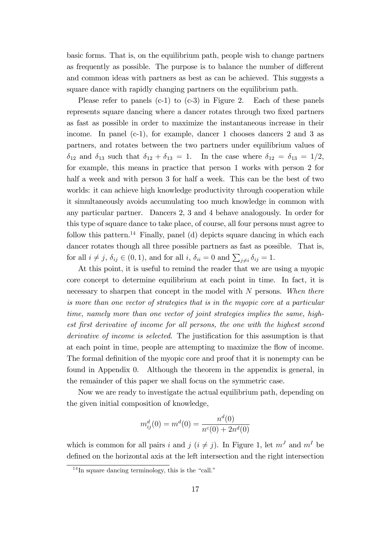basic forms. That is, on the equilibrium path, people wish to change partners as frequently as possible. The purpose is to balance the number of different and common ideas with partners as best as can be achieved. This suggests a square dance with rapidly changing partners on the equilibrium path.

Please refer to panels  $(c-1)$  to  $(c-3)$  in Figure 2. Each of these panels represents square dancing where a dancer rotates through two fixed partners as fast as possible in order to maximize the instantaneous increase in their income. In panel (c-1), for example, dancer 1 chooses dancers 2 and 3 as partners, and rotates between the two partners under equilibrium values of  $\delta_{12}$  and  $\delta_{13}$  such that  $\delta_{12} + \delta_{13} = 1$ . In the case where  $\delta_{12} = \delta_{13} = 1/2$ , for example, this means in practice that person 1 works with person 2 for half a week and with person 3 for half a week. This can be the best of two worlds: it can achieve high knowledge productivity through cooperation while it simultaneously avoids accumulating too much knowledge in common with any particular partner. Dancers 2, 3 and 4 behave analogously. In order for this type of square dance to take place, of course, all four persons must agree to follow this pattern.<sup>14</sup> Finally, panel (d) depicts square dancing in which each dancer rotates though all three possible partners as fast as possible. That is, for all  $i \neq j$ ,  $\delta_{ij} \in (0, 1)$ , and for all i,  $\delta_{ii} = 0$  and  $\sum_{j \neq i} \delta_{ij} = 1$ .

At this point, it is useful to remind the reader that we are using a myopic core concept to determine equilibrium at each point in time. In fact, it is necessary to sharpen that concept in the model with  $N$  persons. When there is more than one vector of strategies that is in the myopic core at a particular time, namely more than one vector of joint strategies implies the same, highest first derivative of income for all persons, the one with the highest second  $derivative of income is selected. The justification for this assumption is that$ at each point in time, people are attempting to maximize the áow of income. The formal definition of the myopic core and proof that it is nonempty can be found in Appendix 0. Although the theorem in the appendix is general, in the remainder of this paper we shall focus on the symmetric case.

Now we are ready to investigate the actual equilibrium path, depending on the given initial composition of knowledge,

$$
m_{ij}^{d}(0) = m^{d}(0) = \frac{n^{d}(0)}{n^{c}(0) + 2n^{d}(0)}
$$

which is common for all pairs i and j  $(i \neq j)$ . In Figure 1, let  $m<sup>J</sup>$  and  $m<sup>I</sup>$  be defined on the horizontal axis at the left intersection and the right intersection

 $14$  In square dancing terminology, this is the "call."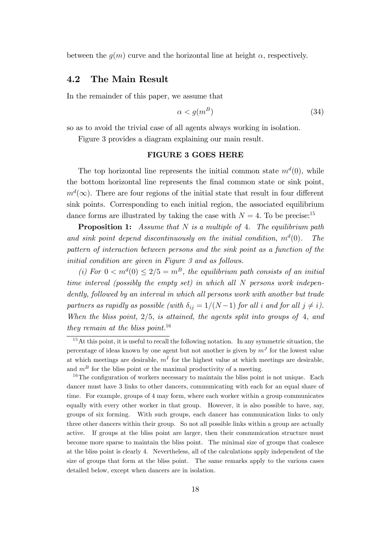between the  $g(m)$  curve and the horizontal line at height  $\alpha$ , respectively.

#### 4.2 The Main Result

In the remainder of this paper, we assume that

$$
\alpha < g(m^B) \tag{34}
$$

so as to avoid the trivial case of all agents always working in isolation.

Figure 3 provides a diagram explaining our main result.

#### FIGURE 3 GOES HERE

The top horizontal line represents the initial common state  $m<sup>d</sup>(0)$ , while the bottom horizontal line represents the final common state or sink point,  $m<sup>d</sup>(\infty)$ . There are four regions of the initial state that result in four different sink points. Corresponding to each initial region, the associated equilibrium dance forms are illustrated by taking the case with  $N = 4$ . To be precise:<sup>15</sup>

**Proposition 1:** Assume that  $N$  is a multiple of 4. The equilibrium path and sink point depend discontinuously on the initial condition,  $m<sup>d</sup>(0)$ . The pattern of interaction between persons and the sink point as a function of the initial condition are given in Figure 3 and as follows.

(i) For  $0 < m<sup>d</sup>(0) \leq 2/5 = m<sup>B</sup>$ , the equilibrium path consists of an initial time interval (possibly the empty set) in which all N persons work independently, followed by an interval in which all persons work with another but trade partners as rapidly as possible (with  $\delta_{ij} = 1/(N-1)$  for all i and for all  $j \neq i$ ). When the bliss point,  $2/5$ , is attained, the agents split into groups of 4, and they remain at the bliss point.<sup>16</sup>

 $15$ At this point, it is useful to recall the following notation. In any symmetric situation, the percentage of ideas known by one agent but not another is given by  $m<sup>J</sup>$  for the lowest value at which meetings are desirable,  $m<sup>I</sup>$  for the highest value at which meetings are desirable, and  $m<sup>B</sup>$  for the bliss point or the maximal productivity of a meeting.

 $16$ The configuration of workers necessary to maintain the bliss point is not unique. Each dancer must have 3 links to other dancers, communicating with each for an equal share of time. For example, groups of 4 may form, where each worker within a group communicates equally with every other worker in that group. However, it is also possible to have, say, groups of six forming. With such groups, each dancer has communication links to only three other dancers within their group. So not all possible links within a group are actually active. If groups at the bliss point are larger, then their communication structure must become more sparse to maintain the bliss point. The minimal size of groups that coalesce at the bliss point is clearly 4. Nevertheless, all of the calculations apply independent of the size of groups that form at the bliss point. The same remarks apply to the various cases detailed below, except when dancers are in isolation.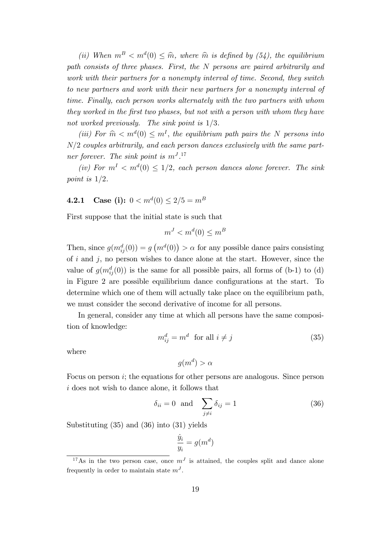(ii) When  $m^B < m^d(0) \leq \hat{m}$ , where  $\hat{m}$  is defined by (54), the equilibrium path consists of three phases. First, the N persons are paired arbitrarily and work with their partners for a nonempty interval of time. Second, they switch to new partners and work with their new partners for a nonempty interval of time. Finally, each person works alternately with the two partners with whom they worked in the first two phases, but not with a person with whom they have not worked previously. The sink point is  $1/3$ .

(iii) For  $\hat{m} < m^d(0) \leq m^I$ , the equilibrium path pairs the N persons into  $N/2$  couples arbitrarily, and each person dances exclusively with the same partner forever. The sink point is  $m^{J}$ .<sup>17</sup>

(iv) For  $m<sup>I</sup> < m<sup>d</sup>(0) \leq 1/2$ , each person dances alone forever. The sink point is  $1/2$ .

#### **4.2.1** Case (i):  $0 < m^d(0) \leq 2/5 = m^B$

First suppose that the initial state is such that

$$
m^J < m^d(0) \le m^B
$$

Then, since  $g(m_{ij}^d(0)) = g(m^d(0)) > \alpha$  for any possible dance pairs consisting of  $i$  and  $j$ , no person wishes to dance alone at the start. However, since the value of  $g(m_{ij}^d(0))$  is the same for all possible pairs, all forms of (b-1) to (d) in Figure 2 are possible equilibrium dance configurations at the start. To determine which one of them will actually take place on the equilibrium path, we must consider the second derivative of income for all persons.

In general, consider any time at which all persons have the same composition of knowledge:

$$
m_{ij}^d = m^d \quad \text{for all } i \neq j \tag{35}
$$

where

$$
g(m^d) > \alpha
$$

Focus on person i; the equations for other persons are analogous. Since person i does not wish to dance alone, it follows that

$$
\delta_{ii} = 0 \text{ and } \sum_{j \neq i} \delta_{ij} = 1 \tag{36}
$$

Substituting (35) and (36) into (31) yields

$$
\frac{\dot{y}_i}{y_i} = g(m^d)
$$

<sup>&</sup>lt;sup>17</sup>As in the two person case, once  $m<sup>J</sup>$  is attained, the couples split and dance alone frequently in order to maintain state  $m<sup>J</sup>$ .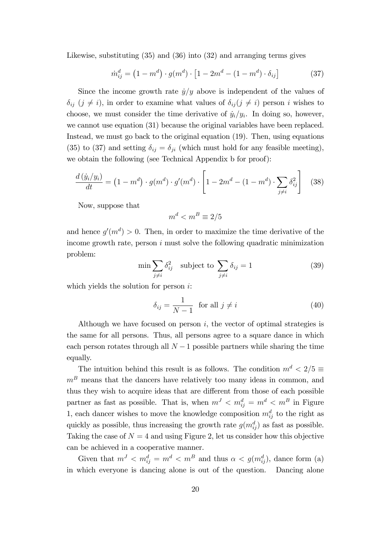Likewise, substituting (35) and (36) into (32) and arranging terms gives

$$
\dot{m}_{ij}^d = (1 - m^d) \cdot g(m^d) \cdot [1 - 2m^d - (1 - m^d) \cdot \delta_{ij}] \tag{37}
$$

Since the income growth rate  $\dot{y}/y$  above is independent of the values of  $\delta_{ij}$   $(j \neq i)$ , in order to examine what values of  $\delta_{ij}$   $(j \neq i)$  person i wishes to choose, we must consider the time derivative of  $\dot{y}_i/y_i$ . In doing so, however, we cannot use equation (31) because the original variables have been replaced. Instead, we must go back to the original equation (19). Then, using equations (35) to (37) and setting  $\delta_{ij} = \delta_{ji}$  (which must hold for any feasible meeting), we obtain the following (see Technical Appendix b for proof):

$$
\frac{d(j_i/y_i)}{dt} = (1 - m^d) \cdot g(m^d) \cdot g'(m^d) \cdot \left[1 - 2m^d - (1 - m^d) \cdot \sum_{j \neq i} \delta_{ij}^2\right]
$$
 (38)

Now, suppose that

$$
m^d < m^B \equiv 2/5
$$

and hence  $g'(m^d) > 0$ . Then, in order to maximize the time derivative of the income growth rate, person  $i$  must solve the following quadratic minimization problem:

$$
\min \sum_{j \neq i} \delta_{ij}^2 \quad \text{subject to } \sum_{j \neq i} \delta_{ij} = 1 \tag{39}
$$

which yields the solution for person  $i$ :

$$
\delta_{ij} = \frac{1}{N-1} \quad \text{for all } j \neq i \tag{40}
$$

Although we have focused on person  $i$ , the vector of optimal strategies is the same for all persons. Thus, all persons agree to a square dance in which each person rotates through all  $N-1$  possible partners while sharing the time equally.

The intuition behind this result is as follows. The condition  $m^d < 2/5 \equiv$  $m<sup>B</sup>$  means that the dancers have relatively too many ideas in common, and thus they wish to acquire ideas that are different from those of each possible partner as fast as possible. That is, when  $m<sup>J</sup> < m<sup>d</sup><sub>ij</sub> = m<sup>d</sup> < m<sup>B</sup>$  in Figure 1, each dancer wishes to move the knowledge composition  $m_{ij}^d$  to the right as quickly as possible, thus increasing the growth rate  $g(m_{ij}^d)$  as fast as possible. Taking the case of  $N = 4$  and using Figure 2, let us consider how this objective can be achieved in a cooperative manner.

Given that  $m^{J} < m_{ij}^{d} = m^{d} < m^{B}$  and thus  $\alpha < g(m_{ij}^{d})$ , dance form (a) in which everyone is dancing alone is out of the question. Dancing alone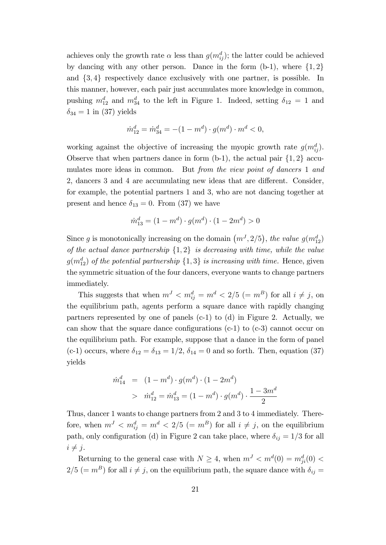achieves only the growth rate  $\alpha$  less than  $g(m_{ij}^d)$ ; the latter could be achieved by dancing with any other person. Dance in the form  $(b-1)$ , where  $\{1, 2\}$ and  $\{3,4\}$  respectively dance exclusively with one partner, is possible. In this manner, however, each pair just accumulates more knowledge in common, pushing  $m_{12}^d$  and  $m_{34}^d$  to the left in Figure 1. Indeed, setting  $\delta_{12} = 1$  and  $\delta_{34} = 1$  in (37) yields

$$
\dot{m}_{12}^d = \dot{m}_{34}^d = -(1 - m^d) \cdot g(m^d) \cdot m^d < 0,
$$

working against the objective of increasing the myopic growth rate  $g(m_{ij}^d)$ . Observe that when partners dance in form  $(b-1)$ , the actual pair  $\{1,2\}$  accumulates more ideas in common. But from the view point of dancers 1 and 2, dancers 3 and 4 are accumulating new ideas that are different. Consider, for example, the potential partners 1 and 3, who are not dancing together at present and hence  $\delta_{13} = 0$ . From (37) we have

$$
\dot{m}_{13}^d = (1 - m^d) \cdot g(m^d) \cdot (1 - 2m^d) > 0
$$

Since g is monotonically increasing on the domain  $(m<sup>J</sup>, 2/5)$ , the value  $g(m_{12}^d)$ of the actual dance partnership  $\{1,2\}$  is decreasing with time, while the value  $g(m_{12}^d)$  of the potential partnership  $\{1,3\}$  is increasing with time. Hence, given the symmetric situation of the four dancers, everyone wants to change partners immediately.

This suggests that when  $m^{J} < m_{ij}^{d} = m^{d} < 2/5$  (=  $m^{B}$ ) for all  $i \neq j$ , on the equilibrium path, agents perform a square dance with rapidly changing partners represented by one of panels  $(c-1)$  to  $(d)$  in Figure 2. Actually, we can show that the square dance configurations  $(c-1)$  to  $(c-3)$  cannot occur on the equilibrium path. For example, suppose that a dance in the form of panel (c-1) occurs, where  $\delta_{12} = \delta_{13} = 1/2$ ,  $\delta_{14} = 0$  and so forth. Then, equation (37) yields

$$
\dot{m}_{14}^d = (1 - m^d) \cdot g(m^d) \cdot (1 - 2m^d) \n> \dot{m}_{12}^d = \dot{m}_{13}^d = (1 - m^d) \cdot g(m^d) \cdot \frac{1 - 3m^d}{2}
$$

Thus, dancer 1 wants to change partners from 2 and 3 to 4 immediately. Therefore, when  $m^{J} < m_{ij}^{d} = m^{d} < 2/5$  (=  $m^{B}$ ) for all  $i \neq j$ , on the equilibrium path, only configuration (d) in Figure 2 can take place, where  $\delta_{ij} = 1/3$  for all  $i \neq j$ .

Returning to the general case with  $N \geq 4$ , when  $m^{J} < m^{d}(0) = m_{ji}^{d}(0) <$  $2/5$  (=  $m^B$ ) for all  $i \neq j$ , on the equilibrium path, the square dance with  $\delta_{ij}$  =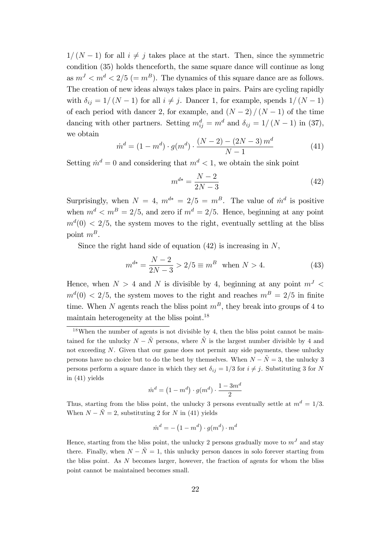$1/(N - 1)$  for all  $i \neq j$  takes place at the start. Then, since the symmetric condition (35) holds thenceforth, the same square dance will continue as long as  $m<sup>J</sup> < m<sup>d</sup> < 2/5$  (=  $m<sup>B</sup>$ ). The dynamics of this square dance are as follows. The creation of new ideas always takes place in pairs. Pairs are cycling rapidly with  $\delta_{ij} = 1/(N - 1)$  for all  $i \neq j$ . Dancer 1, for example, spends  $1/(N - 1)$ of each period with dancer 2, for example, and  $(N - 2)/(N - 1)$  of the time dancing with other partners. Setting  $m_{ij}^d = m^d$  and  $\delta_{ij} = 1/(N - 1)$  in (37), we obtain

$$
\dot{m}^d = (1 - m^d) \cdot g(m^d) \cdot \frac{(N - 2) - (2N - 3)m^d}{N - 1} \tag{41}
$$

Setting  $\dot{m}^d = 0$  and considering that  $m^d < 1$ , we obtain the sink point

$$
m^{d*} = \frac{N-2}{2N-3}
$$
 (42)

Surprisingly, when  $N = 4$ ,  $m^{d*} = 2/5 = m^B$ . The value of  $\dot{m}^d$  is positive when  $m^d < m^B = 2/5$ , and zero if  $m^d = 2/5$ . Hence, beginning at any point  $m<sup>d</sup>(0) < 2/5$ , the system moves to the right, eventually settling at the bliss point  $m^B$ .

Since the right hand side of equation  $(42)$  is increasing in N,

$$
m^{d*} = \frac{N-2}{2N-3} > 2/5 \equiv m^B \text{ when } N > 4.
$$
 (43)

Hence, when  $N > 4$  and N is divisible by 4, beginning at any point  $m<sup>J</sup>$  $m<sup>d</sup>(0) < 2/5$ , the system moves to the right and reaches  $m<sup>B</sup> = 2/5$  in finite time. When N agents reach the bliss point  $m<sup>B</sup>$ , they break into groups of 4 to maintain heterogeneity at the bliss point.<sup>18</sup>

$$
\dot{m}^d = \left(1 - m^d\right) \cdot g(m^d) \cdot \frac{1 - 3m^d}{2}
$$

Thus, starting from the bliss point, the unlucky 3 persons eventually settle at  $m^d = 1/3$ . When  $N - \tilde{N} = 2$ , substituting 2 for N in (41) yields

$$
\dot{m}^d = -\left(1 - m^d\right) \cdot g(m^d) \cdot m^d
$$

Hence, starting from the bliss point, the unlucky 2 persons gradually move to  $m<sup>J</sup>$  and stay there. Finally, when  $N - \tilde{N} = 1$ , this unlucky person dances in solo forever starting from the bliss point. As N becomes larger, however, the fraction of agents for whom the bliss point cannot be maintained becomes small.

<sup>18</sup>When the number of agents is not divisible by 4, then the bliss point cannot be maintained for the unlucky  $N - \tilde{N}$  persons, where  $\tilde{N}$  is the largest number divisible by 4 and not exceeding N. Given that our game does not permit any side payments, these unlucky persons have no choice but to do the best by themselves. When  $N - N = 3$ , the unlucky 3 persons perform a square dance in which they set  $\delta_{ij} = 1/3$  for  $i \neq j$ . Substituting 3 for N in (41) yields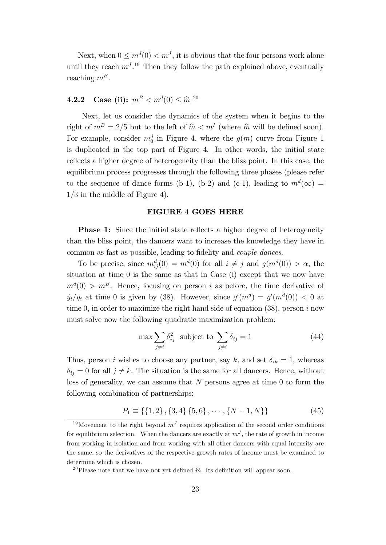Next, when  $0 \leq m^d(0) < m^J$ , it is obvious that the four persons work alone until they reach  $m^{J}$ .<sup>19</sup> Then they follow the path explained above, eventually reaching  $m^B$ .

# **4.2.2** Case (ii):  $m^B < m^d(0) \leq \hat{m}^{20}$

Next, let us consider the dynamics of the system when it begins to the right of  $m^B = 2/5$  but to the left of  $\hat{m} < m^I$  (where  $\hat{m}$  will be defined soon). For example, consider  $m_0^d$  in Figure 4, where the  $g(m)$  curve from Figure 1 is duplicated in the top part of Figure 4. In other words, the initial state reflects a higher degree of heterogeneity than the bliss point. In this case, the equilibrium process progresses through the following three phases (please refer to the sequence of dance forms (b-1), (b-2) and (c-1), leading to  $m<sup>d</sup>(\infty)$  =  $1/3$  in the middle of Figure 4).

#### FIGURE 4 GOES HERE

**Phase 1:** Since the initial state reflects a higher degree of heterogeneity than the bliss point, the dancers want to increase the knowledge they have in common as fast as possible, leading to fidelity and *couple dances*.

To be precise, since  $m_{ij}^d(0) = m^d(0)$  for all  $i \neq j$  and  $g(m^d(0)) > \alpha$ , the situation at time 0 is the same as that in Case (i) except that we now have  $m<sup>d</sup>(0) > m<sup>B</sup>$ . Hence, focusing on person *i* as before, the time derivative of  $\dot{y}_i/y_i$  at time 0 is given by (38). However, since  $g'(m^d) = g'(m^d(0)) < 0$  at time 0, in order to maximize the right hand side of equation  $(38)$ , person i now must solve now the following quadratic maximization problem:

$$
\max \sum_{j \neq i} \delta_{ij}^2 \text{ subject to } \sum_{j \neq i} \delta_{ij} = 1 \tag{44}
$$

Thus, person *i* wishes to choose any partner, say k, and set  $\delta_{ik} = 1$ , whereas  $\delta_{ij} = 0$  for all  $j \neq k$ . The situation is the same for all dancers. Hence, without loss of generality, we can assume that  $N$  persons agree at time  $0$  to form the following combination of partnerships:

$$
P_1 \equiv \{ \{1, 2\}, \{3, 4\} \{5, 6\}, \cdots, \{N - 1, N\} \}
$$
(45)

<sup>&</sup>lt;sup>19</sup>Movement to the right beyond  $m<sup>J</sup>$  requires application of the second order conditions for equilibrium selection. When the dancers are exactly at  $m<sup>J</sup>$ , the rate of growth in income from working in isolation and from working with all other dancers with equal intensity are the same, so the derivatives of the respective growth rates of income must be examined to determine which is chosen.

<sup>&</sup>lt;sup>20</sup>Please note that we have not yet defined  $\hat{m}$ . Its definition will appear soon.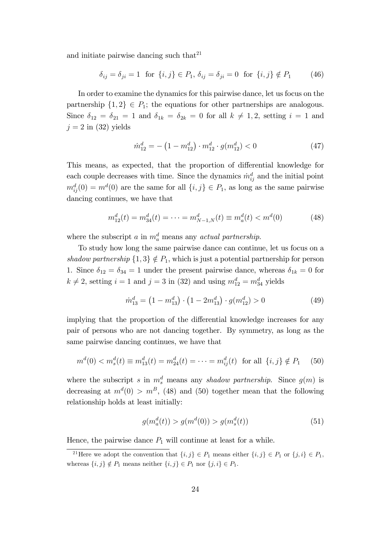and initiate pairwise dancing such that  $2<sup>1</sup>$ 

$$
\delta_{ij} = \delta_{ji} = 1 \text{ for } \{i, j\} \in P_1, \ \delta_{ij} = \delta_{ji} = 0 \text{ for } \{i, j\} \notin P_1 \tag{46}
$$

In order to examine the dynamics for this pairwise dance, let us focus on the partnership  $\{1,2\} \in P_1$ ; the equations for other partnerships are analogous. Since  $\delta_{12} = \delta_{21} = 1$  and  $\delta_{1k} = \delta_{2k} = 0$  for all  $k \neq 1, 2$ , setting  $i = 1$  and  $j = 2$  in (32) yields

$$
\dot{m}_{12}^d = -\left(1 - m_{12}^d\right) \cdot m_{12}^d \cdot g(m_{12}^d) < 0 \tag{47}
$$

This means, as expected, that the proportion of differential knowledge for each couple decreases with time. Since the dynamics  $\dot{m}_{ij}^d$  and the initial point  $m_{ij}^d(0) = m^d(0)$  are the same for all  $\{i, j\} \in P_1$ , as long as the same pairwise dancing continues, we have that

$$
m_{12}^d(t) = m_{34}^d(t) = \dots = m_{N-1,N}^d(t) \equiv m_a^d(t) < m^d(0) \tag{48}
$$

where the subscript a in  $m_a^d$  means any actual partnership.

To study how long the same pairwise dance can continue, let us focus on a shadow partnership  $\{1,3\} \notin P_1$ , which is just a potential partnership for person 1. Since  $\delta_{12} = \delta_{34} = 1$  under the present pairwise dance, whereas  $\delta_{1k} = 0$  for  $k \neq 2$ , setting  $i = 1$  and  $j = 3$  in (32) and using  $m_{12}^d = m_{34}^d$  yields

$$
\dot{m}_{13}^d = \left(1 - m_{13}^d\right) \cdot \left(1 - 2m_{13}^d\right) \cdot g(m_{12}^d) > 0\tag{49}
$$

implying that the proportion of the differential knowledge increases for any pair of persons who are not dancing together. By symmetry, as long as the same pairwise dancing continues, we have that

$$
m^{d}(0) < m_s^d(t) \equiv m_{13}^d(t) = m_{24}^d(t) = \dots = m_{ij}^d(t) \quad \text{for all } \{i, j\} \notin P_1 \tag{50}
$$

where the subscript s in  $m_s^d$  means any shadow partnership. Since  $g(m)$  is decreasing at  $m^d(0) > m^B$ , (48) and (50) together mean that the following relationship holds at least initially:

$$
g(m_a^d(t)) > g(m^d(0)) > g(m_s^d(t))
$$
\n(51)

Hence, the pairwise dance  $P_1$  will continue at least for a while.

<sup>&</sup>lt;sup>21</sup>Here we adopt the convention that  $\{i, j\} \in P_1$  means either  $\{i, j\} \in P_1$  or  $\{j, i\} \in P_1$ , whereas  $\{i, j\} \notin P_1$  means neither  $\{i, j\} \in P_1$  nor  $\{j, i\} \in P_1$ .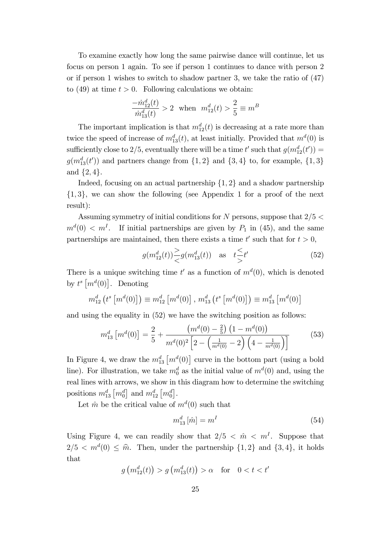To examine exactly how long the same pairwise dance will continue, let us focus on person 1 again. To see if person 1 continues to dance with person 2 or if person 1 wishes to switch to shadow partner 3, we take the ratio of (47) to (49) at time  $t > 0$ . Following calculations we obtain:

$$
\frac{-\dot{m}_{12}^d(t)}{\dot{m}_{13}^d(t)} > 2 \text{ when } m_{12}^d(t) > \frac{2}{5} \equiv m^B
$$

The important implication is that  $m_{12}^d(t)$  is decreasing at a rate more than twice the speed of increase of  $m_{13}^d(t)$ , at least initially. Provided that  $m^d(0)$  is sufficiently close to 2/5, eventually there will be a time  $t'$  such that  $g(m_{12}^d(t'))$  $g(m_{13}^d(t'))$  and partners change from  $\{1,2\}$  and  $\{3,4\}$  to, for example,  $\{1,3\}$ and  $\{2, 4\}.$ 

Indeed, focusing on an actual partnership  $\{1,2\}$  and a shadow partnership  $\{1,3\}$ , we can show the following (see Appendix 1 for a proof of the next result):

Assuming symmetry of initial conditions for N persons, suppose that  $2/5 <$  $m<sup>d</sup>(0) < m<sup>I</sup>$ . If initial partnerships are given by  $P_1$  in (45), and the same partnerships are maintained, then there exists a time  $t'$  such that for  $t > 0$ ,

$$
g(m_{12}^d(t)) \geq g(m_{13}^d(t))
$$
 as  $t \leq t'$  (52)

There is a unique switching time  $t'$  as a function of  $m<sup>d</sup>(0)$ , which is denoted by  $t^s [m^d(0)]$ . Denoting

$$
m_{12}^{d} \left( t^{s} \left[ m^{d}(0) \right] \right) \equiv m_{12}^{d} \left[ m^{d}(0) \right], m_{13}^{d} \left( t^{s} \left[ m^{d}(0) \right] \right) \equiv m_{13}^{d} \left[ m^{d}(0) \right]
$$

and using the equality in (52) we have the switching position as follows:

$$
m_{13}^d \left[ m^d(0) \right] = \frac{2}{5} + \frac{\left( m^d(0) - \frac{2}{5} \right) \left( 1 - m^d(0) \right)}{m^d(0)^2 \left[ 2 - \left( \frac{1}{m^d(0)} - 2 \right) \left( 4 - \frac{1}{m^d(0)} \right) \right]}
$$
(53)

In Figure 4, we draw the  $m_{13}^d \left[ m^d(0) \right]$  curve in the bottom part (using a bold line). For illustration, we take  $m_0^d$  as the initial value of  $m^d(0)$  and, using the real lines with arrows, we show in this diagram how to determine the switching positions  $m_{13}^d \left[ m_0^d \right]$  and  $m_{12}^d \left[ m_0^d \right]$ .

Let  $\hat{m}$  be the critical value of  $m<sup>d</sup>(0)$  such that

$$
m_{13}^d \left[ \hat{m} \right] = m^I \tag{54}
$$

Using Figure 4, we can readily show that  $2/5 < \hat{m} < m^I$ . Suppose that  $2/5 < m<sup>d</sup>(0) \leq \hat{m}$ . Then, under the partnership  $\{1, 2\}$  and  $\{3, 4\}$ , it holds that

$$
g\left(m_{12}^d(t)\right) > g\left(m_{13}^d(t)\right) > \alpha \quad \text{for} \quad 0 < t < t'
$$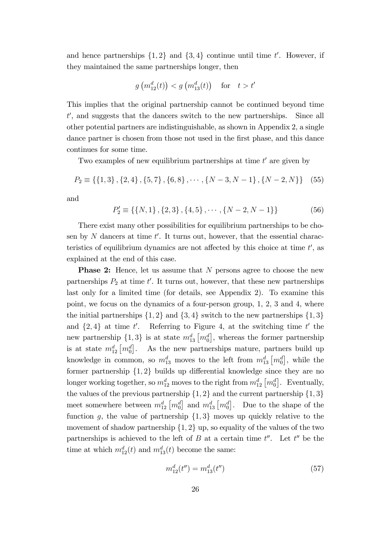and hence partnerships  $\{1, 2\}$  and  $\{3, 4\}$  continue until time t'. However, if they maintained the same partnerships longer, then

$$
g\left(m_{12}^d(t)\right) < g\left(m_{13}^d(t)\right) \quad \text{for} \quad t > t'
$$

This implies that the original partnership cannot be continued beyond time  $t'$ , and suggests that the dancers switch to the new partnerships. Since all other potential partners are indistinguishable, as shown in Appendix 2, a single dance partner is chosen from those not used in the first phase, and this dance continues for some time.

Two examples of new equilibrium partnerships at time  $t'$  are given by

$$
P_2 \equiv \{ \{1,3\}, \{2,4\}, \{5,7\}, \{6,8\}, \cdots, \{N-3, N-1\}, \{N-2, N\} \} \quad (55)
$$

and

$$
P'_{2} \equiv \{\{N, 1\}, \{2, 3\}, \{4, 5\}, \cdots, \{N - 2, N - 1\}\}\
$$
(56)

There exist many other possibilities for equilibrium partnerships to be chosen by  $N$  dancers at time  $t'$ . It turns out, however, that the essential characteristics of equilibrium dynamics are not affected by this choice at time  $t'$ , as explained at the end of this case.

**Phase 2:** Hence, let us assume that  $N$  persons agree to choose the new partnerships  $P_2$  at time  $t'$ . It turns out, however, that these new partnerships last only for a limited time (for details, see Appendix 2). To examine this point, we focus on the dynamics of a four-person group, 1, 2, 3 and 4, where the initial partnerships  $\{1, 2\}$  and  $\{3, 4\}$  switch to the new partnerships  $\{1, 3\}$ and  $\{2,4\}$  at time t'. Referring to Figure 4, at the switching time t' the new partnership  $\{1,3\}$  is at state  $m_{13}^d [m_0^d]$ , whereas the former partnership is at state  $m_{12}^d [m_0^d]$ . As the new partnerships mature, partners build up knowledge in common, so  $m_{13}^d$  moves to the left from  $m_{13}^d$   $[m_0^d]$ , while the former partnership  $\{1, 2\}$  builds up differential knowledge since they are no longer working together, so  $m_{12}^d$  moves to the right from  $m_{12}^d$   $[m_0^d]$ . Eventually, the values of the previous partnership  $\{1,2\}$  and the current partnership  $\{1,3\}$ meet somewhere between  $m_{12}^d \left[ m_0^d \right]$  and  $m_{13}^d \left[ m_0^d \right]$ . Due to the shape of the function g, the value of partnership  $\{1,3\}$  moves up quickly relative to the movement of shadow partnership  $\{1, 2\}$  up, so equality of the values of the two partnerships is achieved to the left of  $B$  at a certain time  $t''$ . Let  $t''$  be the time at which  $m_{12}^d(t)$  and  $m_{13}^d(t)$  become the same:

$$
m_{12}^d(t'') = m_{13}^d(t'')
$$
\n(57)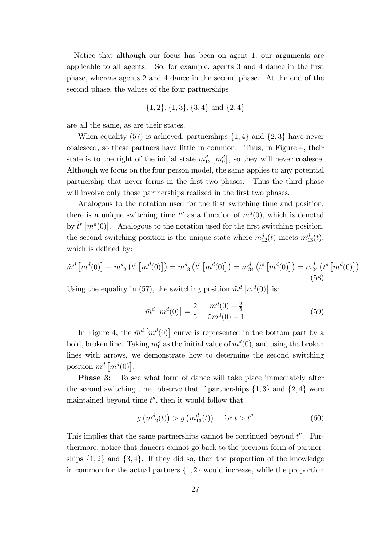Notice that although our focus has been on agent 1, our arguments are applicable to all agents. So, for example, agents 3 and 4 dance in the first phase, whereas agents 2 and 4 dance in the second phase. At the end of the second phase, the values of the four partnerships

$$
\{1,2\},\{1,3\},\{3,4\} \text{ and } \{2,4\}
$$

are all the same, as are their states.

When equality (57) is achieved, partnerships  $\{1,4\}$  and  $\{2,3\}$  have never coalesced, so these partners have little in common. Thus, in Figure 4, their state is to the right of the initial state  $m_{13}^d \left[m_0^d\right]$ , so they will never coalesce. Although we focus on the four person model, the same applies to any potential partnership that never forms in the first two phases. Thus the third phase will involve only those partnerships realized in the first two phases.

Analogous to the notation used for the first switching time and position, there is a unique switching time  $t''$  as a function of  $m<sup>d</sup>(0)$ , which is denoted by  $\tilde{t}^s$   $[m^d(0)]$ . Analogous to the notation used for the first switching position, the second switching position is the unique state where  $m_{12}^d(t)$  meets  $m_{13}^d(t)$ , which is defined by:

$$
\tilde{m}^d \left[ m^d(0) \right] \equiv m_{12}^d \left( \tilde{t}^s \left[ m^d(0) \right] \right) = m_{13}^d \left( \tilde{t}^s \left[ m^d(0) \right] \right) = m_{34}^d \left( \tilde{t}^s \left[ m^d(0) \right] \right) = m_{24}^d \left( \tilde{t}^s \left[ m^d(0) \right] \right)
$$
\n(58)

Using the equality in (57), the switching position  $\tilde{m}^d$   $[m^d(0)]$  is:

$$
\tilde{m}^d \left[ m^d(0) \right] = \frac{2}{5} - \frac{m^d(0) - \frac{2}{5}}{5m^d(0) - 1} \tag{59}
$$

In Figure 4, the  $\tilde{m}^d$   $[m^d(0)]$  curve is represented in the bottom part by a bold, broken line. Taking  $m_0^d$  as the initial value of  $m^d(0)$ , and using the broken lines with arrows, we demonstrate how to determine the second switching position  $\tilde{m}^d$   $[m^d(0)].$ 

**Phase 3:** To see what form of dance will take place immediately after the second switching time, observe that if partnerships  $\{1,3\}$  and  $\{2,4\}$  were maintained beyond time  $t''$ , then it would follow that

$$
g\left(m_{12}^d(t)\right) > g\left(m_{13}^d(t)\right) \quad \text{for } t > t''
$$
\n<sup>(60)</sup>

This implies that the same partnerships cannot be continued beyond  $t''$ . Furthermore, notice that dancers cannot go back to the previous form of partnerships  $\{1,2\}$  and  $\{3,4\}$ . If they did so, then the proportion of the knowledge in common for the actual partners  $\{1, 2\}$  would increase, while the proportion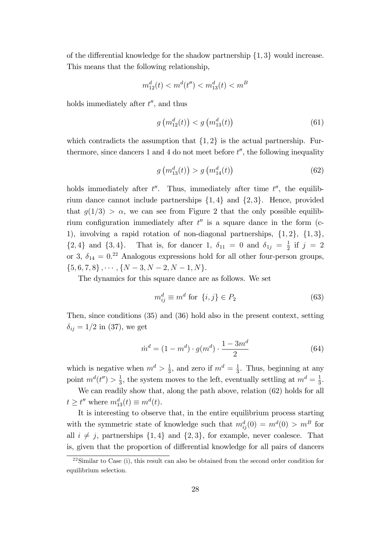of the differential knowledge for the shadow partnership  $\{1,3\}$  would increase. This means that the following relationship,

$$
m_{12}^d(t) < m^d(t'') < m_{13}^d(t) < m^B
$$

holds immediately after  $t''$ , and thus

$$
g(m_{12}^d(t)) < g(m_{13}^d(t)) \tag{61}
$$

which contradicts the assumption that  $\{1, 2\}$  is the actual partnership. Furthermore, since dancers  $1$  and  $4$  do not meet before  $t''$ , the following inequality

$$
g(m_{13}^d(t)) > g(m_{14}^d(t))
$$
\n(62)

holds immediately after  $t''$ . Thus, immediately after time  $t''$ , the equilibrium dance cannot include partnerships  $\{1,4\}$  and  $\{2,3\}$ . Hence, provided that  $g(1/3) > \alpha$ , we can see from Figure 2 that the only possible equilibrium configuration immediately after  $t''$  is a square dance in the form (c-1), involving a rapid rotation of non-diagonal partnerships,  $\{1, 2\}$ ,  $\{1, 3\}$ ,  ${2, 4}$  and  ${3, 4}$ . That is, for dancer 1,  $\delta_{11} = 0$  and  $\delta_{1j} = \frac{1}{2}$  $\frac{1}{2}$  if  $j = 2$ or 3,  $\delta_{14} = 0.^{22}$  Analogous expressions hold for all other four-person groups,  $\{5, 6, 7, 8\}, \cdots, \{N-3, N-2, N-1, N\}.$ 

The dynamics for this square dance are as follows. We set

$$
m_{ij}^d \equiv m^d \text{ for } \{i, j\} \in P_2 \tag{63}
$$

Then, since conditions (35) and (36) hold also in the present context, setting  $\delta_{ij} = 1/2$  in (37), we get

$$
\dot{m}^d = (1 - m^d) \cdot g(m^d) \cdot \frac{1 - 3m^d}{2} \tag{64}
$$

which is negative when  $m^d > \frac{1}{3}$  $\frac{1}{3}$ , and zero if  $m^d = \frac{1}{3}$  $\frac{1}{3}$ . Thus, beginning at any point  $m^d(t'') > \frac{1}{3}$  $\frac{1}{3}$ , the system moves to the left, eventually settling at  $m^d = \frac{1}{3}$  $rac{1}{3}$ .

We can readily show that, along the path above, relation (62) holds for all  $t \geq t''$  where  $m_{13}^d(t) \equiv m^d(t)$ .

It is interesting to observe that, in the entire equilibrium process starting with the symmetric state of knowledge such that  $m_{ij}^d(0) = m^d(0) > m^B$  for all  $i \neq j$ , partnerships  $\{1, 4\}$  and  $\{2, 3\}$ , for example, never coalesce. That is, given that the proportion of differential knowledge for all pairs of dancers

<sup>&</sup>lt;sup>22</sup>Similar to Case (i), this result can also be obtained from the second order condition for equilibrium selection.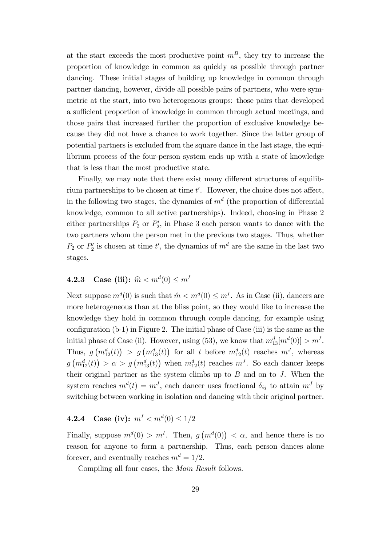at the start exceeds the most productive point  $m^B$ , they try to increase the proportion of knowledge in common as quickly as possible through partner dancing. These initial stages of building up knowledge in common through partner dancing, however, divide all possible pairs of partners, who were symmetric at the start, into two heterogenous groups: those pairs that developed a sufficient proportion of knowledge in common through actual meetings, and those pairs that increased further the proportion of exclusive knowledge because they did not have a chance to work together. Since the latter group of potential partners is excluded from the square dance in the last stage, the equilibrium process of the four-person system ends up with a state of knowledge that is less than the most productive state.

Finally, we may note that there exist many different structures of equilibrium partnerships to be chosen at time  $t'$ . However, the choice does not affect, in the following two stages, the dynamics of  $m<sup>d</sup>$  (the proportion of differential knowledge, common to all active partnerships). Indeed, choosing in Phase 2 either partnerships  $P_2$  or  $P'_2$ , in Phase 3 each person wants to dance with the two partners whom the person met in the previous two stages. Thus, whether  $P_2$  or  $P'_2$  is chosen at time t', the dynamics of  $m^d$  are the same in the last two stages.

# **4.2.3** Case (iii):  $\widehat{m} < m^d(0) \le m^l$

Next suppose  $m<sup>d</sup>(0)$  is such that  $\hat{m} < m<sup>d</sup>(0) \leq m<sup>I</sup>$ . As in Case (ii), dancers are more heterogeneous than at the bliss point, so they would like to increase the knowledge they hold in common through couple dancing, for example using configuration  $(b-1)$  in Figure 2. The initial phase of Case (iii) is the same as the initial phase of Case (ii). However, using (53), we know that  $m_{13}^d[m^d(0)] > m^I$ . Thus,  $g(m_{12}^d(t)) > g(m_{13}^d(t))$  for all t before  $m_{12}^d(t)$  reaches  $m<sup>J</sup>$ , whereas  $g(m_{12}^d(t)) > \alpha > g(m_{13}^d(t))$  when  $m_{12}^d(t)$  reaches  $m<sup>J</sup>$ . So each dancer keeps their original partner as the system climbs up to  $B$  and on to  $J$ . When the system reaches  $m^d(t) = m^J$ , each dancer uses fractional  $\delta_{ij}$  to attain  $m^J$  by switching between working in isolation and dancing with their original partner.

#### **4.2.4** Case (iv):  $m^I < m^d(0) \leq 1/2$

Finally, suppose  $m^d(0) > m^I$ . Then,  $g(m^d(0)) < \alpha$ , and hence there is no reason for anyone to form a partnership. Thus, each person dances alone forever, and eventually reaches  $m^d = 1/2$ .

Compiling all four cases, the Main Result follows.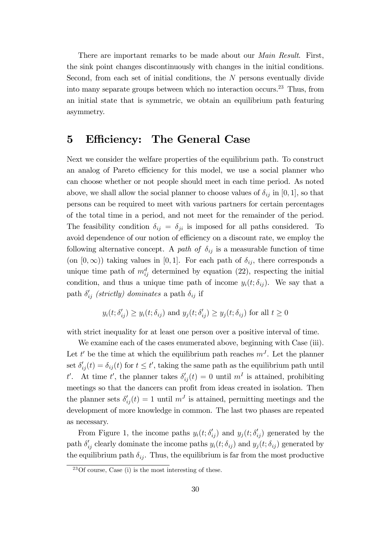There are important remarks to be made about our *Main Result.* First, the sink point changes discontinuously with changes in the initial conditions. Second, from each set of initial conditions, the N persons eventually divide into many separate groups between which no interaction occurs.<sup>23</sup> Thus, from an initial state that is symmetric, we obtain an equilibrium path featuring asymmetry.

### 5 Efficiency: The General Case

Next we consider the welfare properties of the equilibrium path. To construct an analog of Pareto efficiency for this model, we use a social planner who can choose whether or not people should meet in each time period. As noted above, we shall allow the social planner to choose values of  $\delta_{ij}$  in [0, 1], so that persons can be required to meet with various partners for certain percentages of the total time in a period, and not meet for the remainder of the period. The feasibility condition  $\delta_{ij} = \delta_{ji}$  is imposed for all paths considered. To avoid dependence of our notion of efficiency on a discount rate, we employ the following alternative concept. A path of  $\delta_{ij}$  is a measurable function of time (on  $[0,\infty)$ ) taking values in  $[0,1]$ . For each path of  $\delta_{ij}$ , there corresponds a unique time path of  $m_{ij}^d$  determined by equation (22), respecting the initial condition, and thus a unique time path of income  $y_i(t; \delta_{ij})$ . We say that a path  $\delta'_{ij}$  (strictly) dominates a path  $\delta_{ij}$  if

$$
y_i(t; \delta'_{ij}) \ge y_i(t; \delta_{ij})
$$
 and  $y_j(t; \delta'_{ij}) \ge y_j(t; \delta_{ij})$  for all  $t \ge 0$ 

with strict inequality for at least one person over a positive interval of time.

We examine each of the cases enumerated above, beginning with Case (iii). Let t' be the time at which the equilibrium path reaches  $m<sup>J</sup>$ . Let the planner set  $\delta'_{ij}(t) = \delta_{ij}(t)$  for  $t \leq t'$ , taking the same path as the equilibrium path until t'. At time t', the planner takes  $\delta'_{ij}(t) = 0$  until  $m<sup>I</sup>$  is attained, prohibiting meetings so that the dancers can profit from ideas created in isolation. Then the planner sets  $\delta'_{ij}(t) = 1$  until  $m<sup>J</sup>$  is attained, permitting meetings and the development of more knowledge in common. The last two phases are repeated as necessary.

From Figure 1, the income paths  $y_i(t; \delta'_{ij})$  and  $y_j(t; \delta'_{ij})$  generated by the path  $\delta'_{ij}$  clearly dominate the income paths  $y_i(t; \delta_{ij})$  and  $y_j(t; \delta_{ij})$  generated by the equilibrium path  $\delta_{ij}$ . Thus, the equilibrium is far from the most productive

 $23$ Of course, Case (i) is the most interesting of these.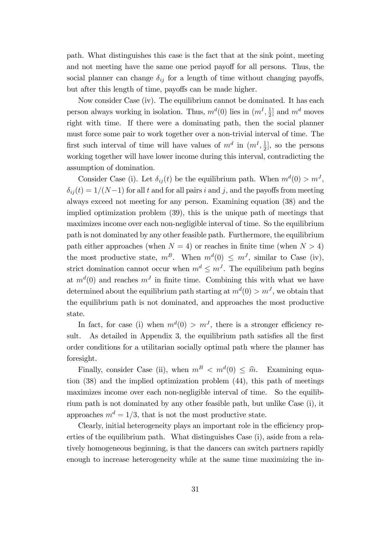path. What distinguishes this case is the fact that at the sink point, meeting and not meeting have the same one period payoff for all persons. Thus, the social planner can change  $\delta_{ij}$  for a length of time without changing payoffs, but after this length of time, payoffs can be made higher.

Now consider Case (iv). The equilibrium cannot be dominated. It has each person always working in isolation. Thus,  $m<sup>d</sup>(0)$  lies in  $(m<sup>I</sup>, \frac{1}{2})$  $\frac{1}{2}$  and  $m^d$  moves right with time. If there were a dominating path, then the social planner must force some pair to work together over a non-trivial interval of time. The first such interval of time will have values of  $m^d$  in  $(m^I, \frac{1}{2})$  $\frac{1}{2}$ , so the persons working together will have lower income during this interval, contradicting the assumption of domination.

Consider Case (i). Let  $\delta_{ij}(t)$  be the equilibrium path. When  $m^d(0) > m^J$ ,  $\delta_{ii}(t) = 1/(N-1)$  for all t and for all pairs i and j, and the payoffs from meeting always exceed not meeting for any person. Examining equation (38) and the implied optimization problem (39), this is the unique path of meetings that maximizes income over each non-negligible interval of time. So the equilibrium path is not dominated by any other feasible path. Furthermore, the equilibrium path either approaches (when  $N = 4$ ) or reaches in finite time (when  $N > 4$ ) the most productive state,  $m^B$ . When  $m^d(0) \leq m^J$ , similar to Case (iv), strict domination cannot occur when  $m^d \leq m^J$ . The equilibrium path begins at  $m<sup>d</sup>(0)$  and reaches  $m<sup>J</sup>$  in finite time. Combining this with what we have determined about the equilibrium path starting at  $m<sup>d</sup>(0) > m<sup>J</sup>$ , we obtain that the equilibrium path is not dominated, and approaches the most productive state.

In fact, for case (i) when  $m<sup>d</sup>(0) > m<sup>J</sup>$ , there is a stronger efficiency result. As detailed in Appendix 3, the equilibrium path satisfies all the first order conditions for a utilitarian socially optimal path where the planner has foresight.

Finally, consider Case (ii), when  $m^B < m^d(0) < \hat{m}$ . Examining equation (38) and the implied optimization problem (44), this path of meetings maximizes income over each non-negligible interval of time. So the equilibrium path is not dominated by any other feasible path, but unlike Case (i), it approaches  $m^d = 1/3$ , that is not the most productive state.

Clearly, initial heterogeneity plays an important role in the efficiency properties of the equilibrium path. What distinguishes Case (i), aside from a relatively homogeneous beginning, is that the dancers can switch partners rapidly enough to increase heterogeneity while at the same time maximizing the in-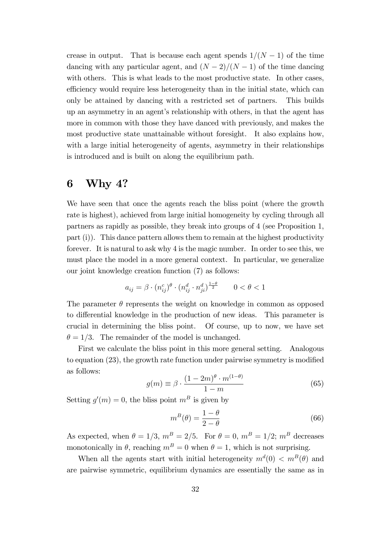crease in output. That is because each agent spends  $1/(N - 1)$  of the time dancing with any particular agent, and  $(N-2)/(N-1)$  of the time dancing with others. This is what leads to the most productive state. In other cases, efficiency would require less heterogeneity than in the initial state, which can only be attained by dancing with a restricted set of partners. This builds up an asymmetry in an agent's relationship with others, in that the agent has more in common with those they have danced with previously, and makes the most productive state unattainable without foresight. It also explains how, with a large initial heterogeneity of agents, asymmetry in their relationships is introduced and is built on along the equilibrium path.

# 6 Why 4?

We have seen that once the agents reach the bliss point (where the growth rate is highest), achieved from large initial homogeneity by cycling through all partners as rapidly as possible, they break into groups of 4 (see Proposition 1, part (i)). This dance pattern allows them to remain at the highest productivity forever. It is natural to ask why 4 is the magic number. In order to see this, we must place the model in a more general context. In particular, we generalize our joint knowledge creation function (7) as follows:

$$
a_{ij} = \beta \cdot (n^c_{ij})^\theta \cdot (n^d_{ij} \cdot n^d_{ji})^{\frac{1-\theta}{2}} \qquad 0 < \theta < 1
$$

The parameter  $\theta$  represents the weight on knowledge in common as opposed to differential knowledge in the production of new ideas. This parameter is crucial in determining the bliss point. Of course, up to now, we have set  $\theta = 1/3$ . The remainder of the model is unchanged.

First we calculate the bliss point in this more general setting. Analogous to equation  $(23)$ , the growth rate function under pairwise symmetry is modified as follows:

$$
g(m) \equiv \beta \cdot \frac{(1 - 2m)^{\theta} \cdot m^{(1 - \theta)}}{1 - m} \tag{65}
$$

Setting  $g'(m) = 0$ , the bliss point  $m<sup>B</sup>$  is given by

$$
m^B(\theta) = \frac{1-\theta}{2-\theta} \tag{66}
$$

As expected, when  $\theta = 1/3$ ,  $m^B = 2/5$ . For  $\theta = 0$ ,  $m^B = 1/2$ ;  $m^B$  decreases monotonically in  $\theta$ , reaching  $m^B = 0$  when  $\theta = 1$ , which is not surprising.

When all the agents start with initial heterogeneity  $m<sup>d</sup>(0) < m<sup>B</sup>(\theta)$  and are pairwise symmetric, equilibrium dynamics are essentially the same as in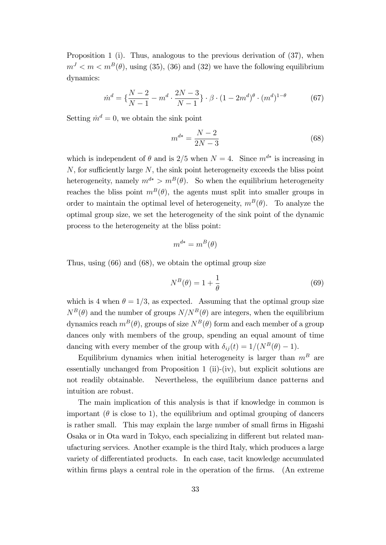Proposition 1 (i). Thus, analogous to the previous derivation of  $(37)$ , when  $m<sup>J</sup> < m < m<sup>B</sup>(\theta)$ , using (35), (36) and (32) we have the following equilibrium dynamics:

$$
\dot{m}^d = \left\{ \frac{N-2}{N-1} - m^d \cdot \frac{2N-3}{N-1} \right\} \cdot \beta \cdot (1 - 2m^d)^\theta \cdot (m^d)^{1-\theta} \tag{67}
$$

Setting  $\dot{m}^d = 0$ , we obtain the sink point

$$
m^{d*} = \frac{N-2}{2N-3}
$$
 (68)

which is independent of  $\theta$  and is  $2/5$  when  $N = 4$ . Since  $m^{d*}$  is increasing in  $N$ , for sufficiently large  $N$ , the sink point heterogeneity exceeds the bliss point heterogeneity, namely  $m^{d*} > m^{B}(\theta)$ . So when the equilibrium heterogeneity reaches the bliss point  $m^B(\theta)$ , the agents must split into smaller groups in order to maintain the optimal level of heterogeneity,  $m^B(\theta)$ . To analyze the optimal group size, we set the heterogeneity of the sink point of the dynamic process to the heterogeneity at the bliss point:

$$
m^{d*} = m^B(\theta)
$$

Thus, using (66) and (68), we obtain the optimal group size

$$
N^B(\theta) = 1 + \frac{1}{\theta} \tag{69}
$$

which is 4 when  $\theta = 1/3$ , as expected. Assuming that the optimal group size  $N^B(\theta)$  and the number of groups  $N/N^B(\theta)$  are integers, when the equilibrium dynamics reach  $m^B(\theta)$ , groups of size  $N^B(\theta)$  form and each member of a group dances only with members of the group, spending an equal amount of time dancing with every member of the group with  $\delta_{ij}(t) = 1/(N^B(\theta) - 1)$ .

Equilibrium dynamics when initial heterogeneity is larger than  $m<sup>B</sup>$  are essentially unchanged from Proposition 1 (ii)-(iv), but explicit solutions are not readily obtainable. Nevertheless, the equilibrium dance patterns and intuition are robust.

The main implication of this analysis is that if knowledge in common is important  $(\theta$  is close to 1), the equilibrium and optimal grouping of dancers is rather small. This may explain the large number of small firms in Higashi Osaka or in Ota ward in Tokyo, each specializing in different but related manufacturing services. Another example is the third Italy, which produces a large variety of differentiated products. In each case, tacit knowledge accumulated within firms plays a central role in the operation of the firms. (An extreme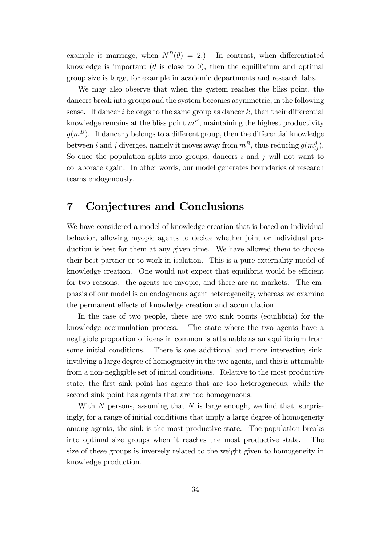example is marriage, when  $N^B(\theta) = 2$ .) In contrast, when differentiated knowledge is important ( $\theta$  is close to 0), then the equilibrium and optimal group size is large, for example in academic departments and research labs.

We may also observe that when the system reaches the bliss point, the dancers break into groups and the system becomes asymmetric, in the following sense. If dancer i belongs to the same group as dancer  $k$ , then their differential knowledge remains at the bliss point  $m^B$ , maintaining the highest productivity  $g(m^B)$ . If dancer j belongs to a different group, then the differential knowledge between i and j diverges, namely it moves away from  $m^B$ , thus reducing  $g(m_{ij}^d)$ . So once the population splits into groups, dancers  $i$  and  $j$  will not want to collaborate again. In other words, our model generates boundaries of research teams endogenously.

### 7 Conjectures and Conclusions

We have considered a model of knowledge creation that is based on individual behavior, allowing myopic agents to decide whether joint or individual production is best for them at any given time. We have allowed them to choose their best partner or to work in isolation. This is a pure externality model of knowledge creation. One would not expect that equilibria would be efficient for two reasons: the agents are myopic, and there are no markets. The emphasis of our model is on endogenous agent heterogeneity, whereas we examine the permanent effects of knowledge creation and accumulation.

In the case of two people, there are two sink points (equilibria) for the knowledge accumulation process. The state where the two agents have a negligible proportion of ideas in common is attainable as an equilibrium from some initial conditions. There is one additional and more interesting sink, involving a large degree of homogeneity in the two agents, and this is attainable from a non-negligible set of initial conditions. Relative to the most productive state, the first sink point has agents that are too heterogeneous, while the second sink point has agents that are too homogeneous.

With  $N$  persons, assuming that  $N$  is large enough, we find that, surprisingly, for a range of initial conditions that imply a large degree of homogeneity among agents, the sink is the most productive state. The population breaks into optimal size groups when it reaches the most productive state. The size of these groups is inversely related to the weight given to homogeneity in knowledge production.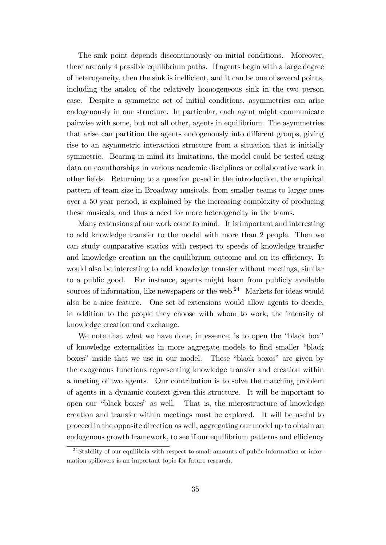The sink point depends discontinuously on initial conditions. Moreover, there are only 4 possible equilibrium paths. If agents begin with a large degree of heterogeneity, then the sink is inefficient, and it can be one of several points, including the analog of the relatively homogeneous sink in the two person case. Despite a symmetric set of initial conditions, asymmetries can arise endogenously in our structure. In particular, each agent might communicate pairwise with some, but not all other, agents in equilibrium. The asymmetries that arise can partition the agents endogenously into different groups, giving rise to an asymmetric interaction structure from a situation that is initially symmetric. Bearing in mind its limitations, the model could be tested using data on coauthorships in various academic disciplines or collaborative work in other Öelds. Returning to a question posed in the introduction, the empirical pattern of team size in Broadway musicals, from smaller teams to larger ones over a 50 year period, is explained by the increasing complexity of producing these musicals, and thus a need for more heterogeneity in the teams.

Many extensions of our work come to mind. It is important and interesting to add knowledge transfer to the model with more than 2 people. Then we can study comparative statics with respect to speeds of knowledge transfer and knowledge creation on the equilibrium outcome and on its efficiency. It would also be interesting to add knowledge transfer without meetings, similar to a public good. For instance, agents might learn from publicly available sources of information, like newspapers or the web. $24$  Markets for ideas would also be a nice feature. One set of extensions would allow agents to decide, in addition to the people they choose with whom to work, the intensity of knowledge creation and exchange.

We note that what we have done, in essence, is to open the "black box" of knowledge externalities in more aggregate models to find smaller "black boxes" inside that we use in our model. These "black boxes" are given by the exogenous functions representing knowledge transfer and creation within a meeting of two agents. Our contribution is to solve the matching problem of agents in a dynamic context given this structure. It will be important to open our ìblack boxesî as well. That is, the microstructure of knowledge creation and transfer within meetings must be explored. It will be useful to proceed in the opposite direction as well, aggregating our model up to obtain an endogenous growth framework, to see if our equilibrium patterns and efficiency

 $^{24}$ Stability of our equilibria with respect to small amounts of public information or information spillovers is an important topic for future research.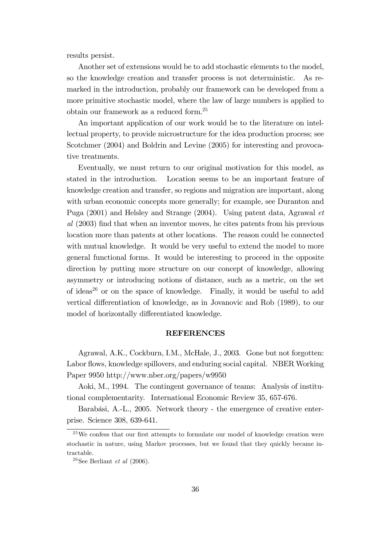results persist.

Another set of extensions would be to add stochastic elements to the model, so the knowledge creation and transfer process is not deterministic. As remarked in the introduction, probably our framework can be developed from a more primitive stochastic model, where the law of large numbers is applied to obtain our framework as a reduced form.<sup>25</sup>

An important application of our work would be to the literature on intellectual property, to provide microstructure for the idea production process; see Scotchmer (2004) and Boldrin and Levine (2005) for interesting and provocative treatments.

Eventually, we must return to our original motivation for this model, as stated in the introduction. Location seems to be an important feature of knowledge creation and transfer, so regions and migration are important, along with urban economic concepts more generally; for example, see Duranton and Puga (2001) and Helsley and Strange (2004). Using patent data, Agrawal et al (2003) find that when an inventor moves, he cites patents from his previous location more than patents at other locations. The reason could be connected with mutual knowledge. It would be very useful to extend the model to more general functional forms. It would be interesting to proceed in the opposite direction by putting more structure on our concept of knowledge, allowing asymmetry or introducing notions of distance, such as a metric, on the set of ideas<sup>26</sup> or on the space of knowledge. Finally, it would be useful to add vertical differentiation of knowledge, as in Jovanovic and Rob (1989), to our model of horizontally differentiated knowledge.

#### REFERENCES

Agrawal, A.K., Cockburn, I.M., McHale, J., 2003. Gone but not forgotten: Labor flows, knowledge spillovers, and enduring social capital. NBER Working Paper 9950 http://www.nber.org/papers/w9950

Aoki, M., 1994. The contingent governance of teams: Analysis of institutional complementarity. International Economic Review 35, 657-676.

Barabási, A.-L., 2005. Network theory - the emergence of creative enterprise. Science 308, 639-641.

 $25\,\text{We confess that our first attempts to formulate our model of knowledge creation were}$ stochastic in nature, using Markov processes, but we found that they quickly became intractable.

<sup>&</sup>lt;sup>26</sup>See Berliant *et al* (2006).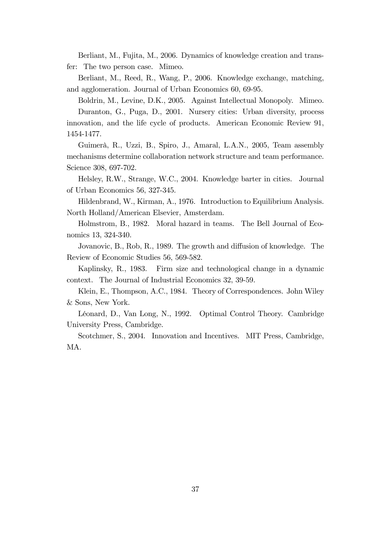Berliant, M., Fujita, M., 2006. Dynamics of knowledge creation and transfer: The two person case. Mimeo.

Berliant, M., Reed, R., Wang, P., 2006. Knowledge exchange, matching, and agglomeration. Journal of Urban Economics 60, 69-95.

Boldrin, M., Levine, D.K., 2005. Against Intellectual Monopoly. Mimeo. Duranton, G., Puga, D., 2001. Nursery cities: Urban diversity, process innovation, and the life cycle of products. American Economic Review 91, 1454-1477.

Guimerà, R., Uzzi, B., Spiro, J., Amaral, L.A.N., 2005, Team assembly mechanisms determine collaboration network structure and team performance. Science 308, 697-702.

Helsley, R.W., Strange, W.C., 2004. Knowledge barter in cities. Journal of Urban Economics 56, 327-345.

Hildenbrand, W., Kirman, A., 1976. Introduction to Equilibrium Analysis. North Holland/American Elsevier, Amsterdam.

Holmstrom, B., 1982. Moral hazard in teams. The Bell Journal of Economics 13, 324-340.

Jovanovic, B., Rob, R., 1989. The growth and diffusion of knowledge. The Review of Economic Studies 56, 569-582.

Kaplinsky, R., 1983. Firm size and technological change in a dynamic context. The Journal of Industrial Economics 32, 39-59.

Klein, E., Thompson, A.C., 1984. Theory of Correspondences. John Wiley & Sons, New York.

LÈonard, D., Van Long, N., 1992. Optimal Control Theory. Cambridge University Press, Cambridge.

Scotchmer, S., 2004. Innovation and Incentives. MIT Press, Cambridge, MA.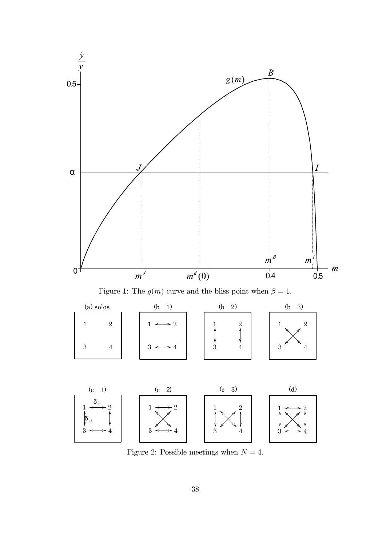

Figure 1: The  $g(m)$  curve and the bliss point when  $\beta = 1$ .



Figure 2: Possible meetings when  $N = 4$ .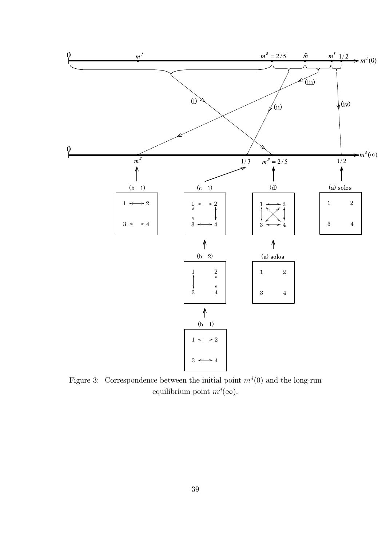

Figure 3: Correspondence between the initial point  $m<sup>d</sup>(0)$  and the long-run equilibrium point  $m^d(\infty)$ .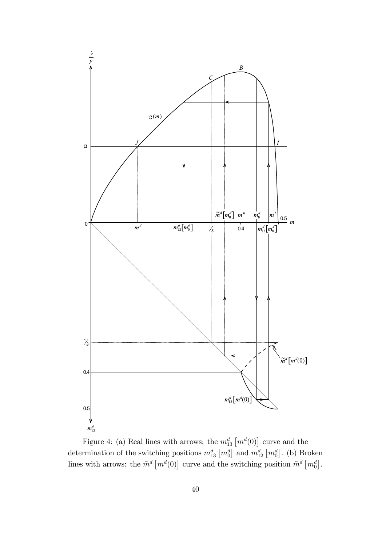

Figure 4: (a) Real lines with arrows: the  $m_{13}^d \left[ m^d(0) \right]$  curve and the determination of the switching positions  $m_{13}^d \left[m_0^d\right]$  and  $m_{12}^d \left[m_0^d\right]$ . (b) Broken lines with arrows: the  $\tilde{m}^d$   $\left[m^d(0)\right]$  curve and the switching position  $\tilde{m}^d$   $\left[m^d_0\right]$ .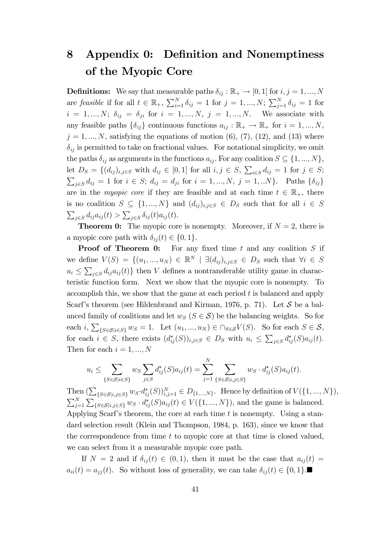# 8 Appendix 0: Definition and Nonemptiness of the Myopic Core

**Definitions:** We say that measurable paths  $\delta_{ij} : \mathbb{R}_+ \to [0, 1]$  for  $i, j = 1, ..., N$ are *feasible* if for all  $t \in \mathbb{R}_+$ ,  $\sum_{i=1}^N \delta_{ij} = 1$  for  $j = 1, ..., N$ ;  $\sum_{j=1}^N \delta_{ij} = 1$  for  $i = 1, ..., N; \delta_{ij} = \delta_{ji}$  for  $i = 1, ..., N, j = 1, ..., N$ . We associate with any feasible paths  $\{\delta_{ij}\}\$  continuous functions  $a_{ij} : \mathbb{R}_+ \to \mathbb{R}_+$  for  $i = 1, ..., N$ ,  $j = 1, ..., N$ , satisfying the equations of motion  $(6)$ ,  $(7)$ ,  $(12)$ , and  $(13)$  where  $\delta_{ij}$  is permitted to take on fractional values. For notational simplicity, we omit the paths  $\delta_{ij}$  as arguments in the functions  $a_{ij}$ . For any coalition  $S \subseteq \{1, ..., N\},$ let  $D_S = \{(d_{ij})_{i,j \in S} \text{ with } d_{ij} \in [0,1] \text{ for all } i,j \in S, \sum_{i \in S} d_{ij} = 1 \text{ for } j \in S;$  $\sum_{j\in S} d_{ij} = 1$  for  $i \in S$ ;  $d_{ij} = d_{ji}$  for  $i = 1, ..., N$ ,  $j = 1, ...N$ . Paths  $\{\delta_{ij}\}\$ are in the *myopic core* if they are feasible and at each time  $t \in \mathbb{R}_+$ , there is no coalition  $S \subseteq \{1, ..., N\}$  and  $(d_{ij})_{i,j\in S} \in D_S$  such that for all  $i \in S$  $\sum_{j \in S} d_{ij} a_{ij}(t) > \sum_{j \in S} \delta_{ij}(t) a_{ij}(t).$ 

**Theorem 0:** The myopic core is nonempty. Moreover, if  $N = 2$ , there is a myopic core path with  $\delta_{ij}(t) \in \{0, 1\}.$ 

**Proof of Theorem 0:** For any fixed time t and any coalition  $S$  if we define  $V(S) = \{(u_1, ..., u_N) \in \mathbb{R}^N \mid \exists (d_{ij})_{i,j \in S} \in D_S \text{ such that } \forall i \in S$  $u_i \leq \sum_{j \in S} d_{ij} a_{ij}(t)$  then V defines a nontransferable utility game in characteristic function form. Next we show that the myopic core is nonempty. To accomplish this, we show that the game at each period t is balanced and apply Scarf's theorem (see Hildenbrand and Kirman, 1976, p. 71). Let  $S$  be a balanced family of coalitions and let  $w_S$  ( $S \in S$ ) be the balancing weights. So for each  $i, \sum_{\{S \in \mathcal{S} \mid i \in S\}} w_S = 1$ . Let  $(u_1, ..., u_N) \in \cap_{S \in \mathcal{S}} V(S)$ . So for each  $S \in \mathcal{S}$ , for each  $i \in S$ , there exists  $(d_{ij}^*(S))_{i,j\in S} \in D_S$  with  $u_i \leq \sum_{j\in S} d_{ij}^*(S) a_{ij}(t)$ . Then for each  $i = 1, ..., N$ 

$$
u_i \le \sum_{\{S \in \mathcal{S} | i \in S\}} w_S \sum_{j \in S} d_{ij}^*(S) a_{ij}(t) = \sum_{j=1}^N \sum_{\{S \in \mathcal{S} | i,j \in S\}} w_S \cdot d_{ij}^*(S) a_{ij}(t).
$$

Then  $(\sum_{\{S \in \mathcal{S} | i,j \in S\}} w_S \cdot d_{ij}^*(S))_{i,j=1}^N \in D_{\{1,\ldots,N\}}$ . Hence by definition of  $V(\{1,\ldots,N\}),$  $\sum_{j=1}^N \sum_{\{S \in \mathcal{S} | i,j \in S\}} w_S \cdot d_{ij}^*(S) a_{ij}(t) \in V(\{1,...,N\})$ , and the game is balanced. Applying Scarf's theorem, the core at each time  $t$  is nonempty. Using a standard selection result (Klein and Thompson, 1984, p. 163), since we know that the correspondence from time  $t$  to myopic core at that time is closed valued, we can select from it a measurable myopic core path.

If  $N = 2$  and if  $\delta_{ij} (t) \in (0, 1)$ , then it must be the case that  $a_{ij} (t) =$  $a_{ii}(t) = a_{jj}(t)$ . So without loss of generality, we can take  $\delta_{ij}(t) \in \{0, 1\}$ .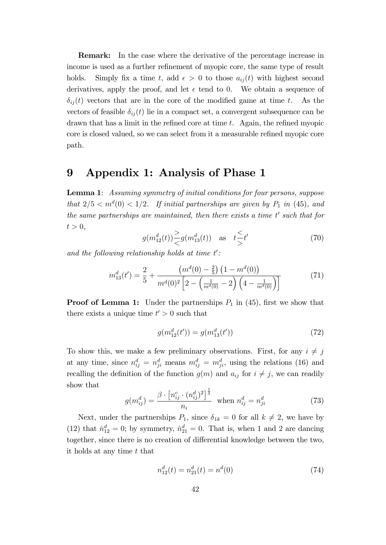Remark: In the case where the derivative of the percentage increase in income is used as a further refinement of myopic core, the same type of result holds. Simply fix a time t, add  $\epsilon > 0$  to those  $a_{ij}(t)$  with highest second derivatives, apply the proof, and let  $\epsilon$  tend to 0. We obtain a sequence of  $\delta_{ii}(t)$  vectors that are in the core of the modified game at time t. As the vectors of feasible  $\delta_{ij}(t)$  lie in a compact set, a convergent subsequence can be drawn that has a limit in the refined core at time  $t$ . Again, the refined myopic core is closed valued, so we can select from it a measurable refined myopic core path.

### 9 Appendix 1: Analysis of Phase 1

**Lemma 1:** Assuming symmetry of initial conditions for four persons, suppose that  $2/5 < m<sup>d</sup>(0) < 1/2$ . If initial partnerships are given by  $P_1$  in (45), and the same partnerships are maintained, then there exists a time  $t'$  such that for  $t > 0$ ,

$$
g(m_{12}^d(t)) \geq g(m_{13}^d(t))
$$
 as  $t \leq t'$  (70)

and the following relationship holds at time  $t'$ :

$$
m_{13}^d(t') = \frac{2}{5} + \frac{\left(m^d(0) - \frac{2}{5}\right)\left(1 - m^d(0)\right)}{m^d(0)^2 \left[2 - \left(\frac{1}{m^d(0)} - 2\right)\left(4 - \frac{1}{m^d(0)}\right)\right]}
$$
(71)

**Proof of Lemma 1:** Under the partnerships  $P_1$  in (45), first we show that there exists a unique time  $t' > 0$  such that

$$
g(m_{12}^d(t')) = g(m_{13}^d(t'))\tag{72}
$$

To show this, we make a few preliminary observations. First, for any  $i \neq j$ at any time, since  $n_{ij}^d = n_{ji}^d$  means  $m_{ij}^d = m_{ji}^d$ , using the relations (16) and recalling the definition of the function  $g(m)$  and  $a_{ij}$  for  $i \neq j$ , we can readily show that

$$
g(m_{ij}^d) = \frac{\beta \cdot [n_{ij}^c \cdot (n_{ij}^d)^2]^{\frac{1}{3}}}{n_i} \text{ when } n_{ij}^d = n_{ji}^d \tag{73}
$$

Next, under the partnerships  $P_1$ , since  $\delta_{1k} = 0$  for all  $k \neq 2$ , we have by (12) that  $\dot{n}_{12}^d = 0$ ; by symmetry,  $\dot{n}_{21}^d = 0$ . That is, when 1 and 2 are dancing together, since there is no creation of differential knowledge between the two, it holds at any time t that

$$
n_{12}^d(t) = n_{21}^d(t) = n^d(0)
$$
\n(74)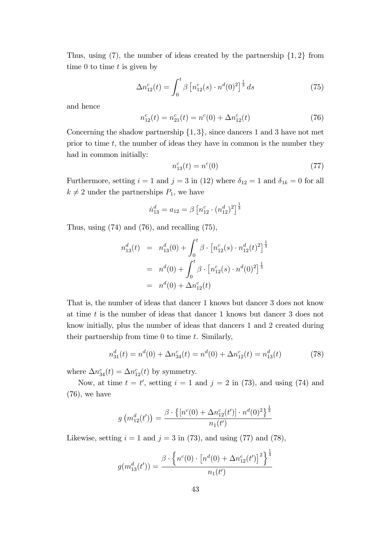Thus, using  $(7)$ , the number of ideas created by the partnership  $\{1, 2\}$  from time 0 to time  $t$  is given by

$$
\Delta n_{12}^c(t) = \int_0^t \beta \left[ n_{12}^c(s) \cdot n^d(0)^2 \right]^{\frac{1}{3}} ds \tag{75}
$$

and hence

$$
n_{12}^c(t) = n_{21}^c(t) = n^c(0) + \Delta n_{12}^c(t)
$$
\n(76)

Concerning the shadow partnership  $\{1,3\}$ , since dancers 1 and 3 have not met prior to time  $t$ , the number of ideas they have in common is the number they had in common initially:

$$
n_{13}^c(t) = n^c(0)
$$
\n(77)

Furthermore, setting  $i = 1$  and  $j = 3$  in (12) where  $\delta_{12} = 1$  and  $\delta_{1k} = 0$  for all  $k \neq 2$  under the partnerships  $P_1$ , we have

$$
\dot{n}_{13}^d = a_{12} = \beta \left[ n_{12}^c \cdot (n_{12}^d)^2 \right]^{\frac{1}{3}}
$$

Thus, using (74) and (76), and recalling (75),

$$
n_{13}^d(t) = n_{13}^d(0) + \int_0^t \beta \cdot [n_{12}^c(s) \cdot n_{12}^d(t)^2]^{\frac{1}{3}}
$$
  
=  $n^d(0) + \int_0^t \beta \cdot [n_{12}^c(s) \cdot n^d(0)^2]^{\frac{1}{3}}$   
=  $n^d(0) + \Delta n_{12}^c(t)$ 

That is, the number of ideas that dancer 1 knows but dancer 3 does not know at time t is the number of ideas that dancer 1 knows but dancer 3 does not know initially, plus the number of ideas that dancers 1 and 2 created during their partnership from time  $0$  to time  $t$ . Similarly,

$$
n_{31}^d(t) = n^d(0) + \Delta n_{34}^c(t) = n^d(0) + \Delta n_{12}^c(t) = n_{13}^d(t)
$$
 (78)

where  $\Delta n_{34}^c(t) = \Delta n_{12}^c(t)$  by symmetry.

Now, at time  $t = t'$ , setting  $i = 1$  and  $j = 2$  in (73), and using (74) and  $(76)$ , we have

$$
g(m_{12}^d(t')) = \frac{\beta \cdot \{ [n^c(0) + \Delta n_{12}^c(t')] \cdot n^d(0)^2 \}^{\frac{1}{3}}}{n_1(t')}
$$

Likewise, setting  $i = 1$  and  $j = 3$  in (73), and using (77) and (78),

$$
g(m_{13}^d(t')) = \frac{\beta \cdot \left\{ n^c(0) \cdot \left[ n^d(0) + \Delta n_{12}^c(t') \right]^2 \right\}^{\frac{1}{3}}}{n_1(t')}
$$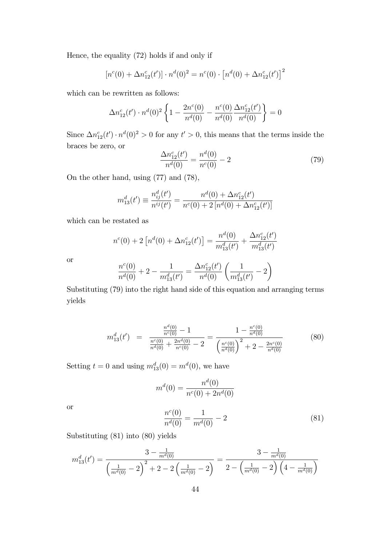Hence, the equality (72) holds if and only if

$$
[n^{c}(0) + \Delta n_{12}^{c}(t')] \cdot n^{d}(0)^{2} = n^{c}(0) \cdot [n^{d}(0) + \Delta n_{12}^{c}(t')]^{2}
$$

which can be rewritten as follows:

$$
\Delta n_{12}^c(t') \cdot n^d(0)^2 \left\{ 1 - \frac{2n^c(0)}{n^d(0)} - \frac{n^c(0)}{n^d(0)} \frac{\Delta n_{12}^c(t')}{n^d(0)} \right\} = 0
$$

Since  $\Delta n_{12}^c(t') \cdot n^d(0)^2 > 0$  for any  $t' > 0$ , this means that the terms inside the braces be zero, or

$$
\frac{\Delta n_{12}^c(t')}{n^d(0)} = \frac{n^d(0)}{n^c(0)} - 2\tag{79}
$$

On the other hand, using (77) and (78),

$$
m_{13}^d(t') \equiv \frac{n_{ij}^d(t')}{n^{ij}(t')} = \frac{n^d(0) + \Delta n_{12}^c(t')}{n^c(0) + 2[n^d(0) + \Delta n_{12}^c(t')]}
$$

which can be restated as

$$
n^{c}(0) + 2\left[n^{d}(0) + \Delta n_{12}^{c}(t')\right] = \frac{n^{d}(0)}{m_{13}^{d}(t')} + \frac{\Delta n_{12}^{c}(t')}{m_{13}^{d}(t')}
$$

or

$$
\frac{n^c(0)}{n^d(0)} + 2 - \frac{1}{m_{13}^d(t')} = \frac{\Delta n_{12}^c(t')}{n^d(0)} \left( \frac{1}{m_{13}^d(t')} - 2 \right)
$$

Substituting (79) into the right hand side of this equation and arranging terms yields

$$
m_{13}^d(t') = \frac{\frac{n^d(0)}{n^c(0)} - 1}{\frac{n^c(0)}{n^d(0)} + \frac{2n^d(0)}{n^c(0)} - 2} = \frac{1 - \frac{n^c(0)}{n^d(0)}}{\left(\frac{n^c(0)}{n^d(0)}\right)^2 + 2 - \frac{2n^c(0)}{n^d(0)}}\tag{80}
$$

Setting  $t = 0$  and using  $m_{13}^d(0) = m^d(0)$ , we have

$$
m^{d}(0) = \frac{n^{d}(0)}{n^{c}(0) + 2n^{d}(0)}
$$

or

$$
\frac{n^{c}(0)}{n^{d}(0)} = \frac{1}{m^{d}(0)} - 2\tag{81}
$$

Substituting (81) into (80) yields

$$
m_{13}^d(t') = \frac{3 - \frac{1}{m^d(0)}}{\left(\frac{1}{m^d(0)} - 2\right)^2 + 2 - 2\left(\frac{1}{m^d(0)} - 2\right)} = \frac{3 - \frac{1}{m^d(0)}}{2 - \left(\frac{1}{m^d(0)} - 2\right)\left(4 - \frac{1}{m^d(0)}\right)}
$$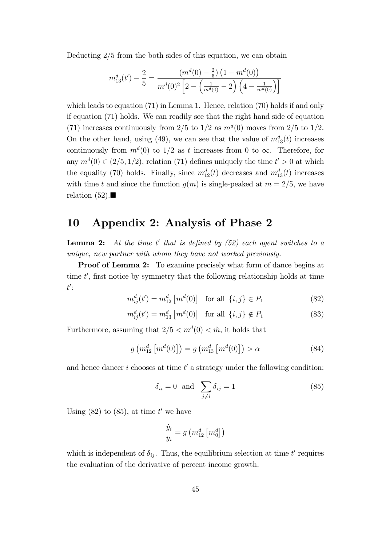Deducting  $2/5$  from the both sides of this equation, we can obtain

$$
m_{13}^d(t') - \frac{2}{5} = \frac{(m^d(0) - \frac{2}{5}) (1 - m^d(0))}{m^d(0)^2 \left[2 - \left(\frac{1}{m^d(0)} - 2\right) \left(4 - \frac{1}{m^d(0)}\right)\right]}
$$

which leads to equation (71) in Lemma 1. Hence, relation (70) holds if and only if equation (71) holds. We can readily see that the right hand side of equation (71) increases continuously from 2/5 to 1/2 as  $m<sup>d</sup>(0)$  moves from 2/5 to 1/2. On the other hand, using (49), we can see that the value of  $m_{13}^d(t)$  increases continuously from  $m<sup>d</sup>(0)$  to  $1/2$  as t increases from 0 to  $\infty$ . Therefore, for any  $m^{d}(0) \in (2/5, 1/2)$ , relation (71) defines uniquely the time  $t' > 0$  at which the equality (70) holds. Finally, since  $m_{12}^d(t)$  decreases and  $m_{13}^d(t)$  increases with time t and since the function  $g(m)$  is single-peaked at  $m = 2/5$ , we have relation  $(52)$ .

## 10 Appendix 2: Analysis of Phase 2

**Lemma 2:** At the time  $t'$  that is defined by  $(52)$  each agent switches to a unique, new partner with whom they have not worked previously.

Proof of Lemma 2: To examine precisely what form of dance begins at time  $t'$ , first notice by symmetry that the following relationship holds at time  $t$ :

$$
m_{ij}^d(t') = m_{12}^d \left[ m^d(0) \right] \text{ for all } \{i, j\} \in P_1 \tag{82}
$$

$$
m_{ij}^d(t') = m_{13}^d \left[ m^d(0) \right] \text{ for all } \{i, j\} \notin P_1 \tag{83}
$$

Furthermore, assuming that  $2/5 < m<sup>d</sup>(0) < \hat{m}$ , it holds that

$$
g\left(m_{12}^d \left[m^d(0)\right]\right) = g\left(m_{13}^d \left[m^d(0)\right]\right) > \alpha \tag{84}
$$

and hence dancer  $i$  chooses at time  $t'$  a strategy under the following condition:

$$
\delta_{ii} = 0 \text{ and } \sum_{j \neq i} \delta_{ij} = 1 \tag{85}
$$

Using  $(82)$  to  $(85)$ , at time  $t'$  we have

$$
\frac{\dot{y}_i}{y_i} = g\left(m_{12}^d \left[m_0^d\right]\right)
$$

which is independent of  $\delta_{ij}$ . Thus, the equilibrium selection at time t' requires the evaluation of the derivative of percent income growth.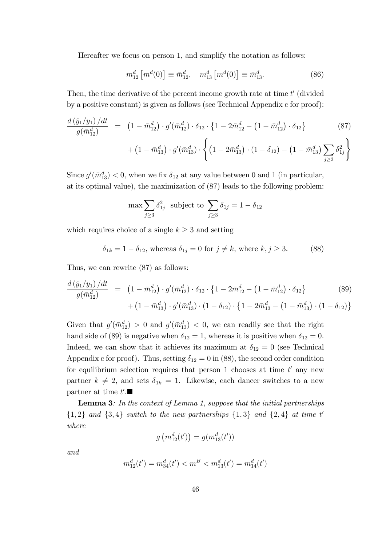Hereafter we focus on person 1, and simplify the notation as follows:

$$
m_{12}^d \left[ m^d(0) \right] \equiv \bar{m}_{12}^d, \quad m_{13}^d \left[ m^d(0) \right] \equiv \bar{m}_{13}^d. \tag{86}
$$

Then, the time derivative of the percent income growth rate at time  $t'$  (divided by a positive constant) is given as follows (see Technical Appendix c for proof):

$$
\frac{d(\dot{y}_1/y_1)/dt}{g(\bar{m}_{12}^d)} = (1 - \bar{m}_{12}^d) \cdot g'(\bar{m}_{12}^d) \cdot \delta_{12} \cdot \{1 - 2\bar{m}_{12}^d - (1 - \bar{m}_{12}^d) \cdot \delta_{12}\}\n+ (1 - \bar{m}_{13}^d) \cdot g'(\bar{m}_{13}^d) \cdot \left\{ (1 - 2\bar{m}_{13}^d) \cdot (1 - \delta_{12}) - (1 - \bar{m}_{13}^d) \sum_{j \ge 3} \delta_{1j}^2 \right\}
$$
\n(87)

Since  $g'(\bar{m}_{13}^d) < 0$ , when we fix  $\delta_{12}$  at any value between 0 and 1 (in particular, at its optimal value), the maximization of (87) leads to the following problem:

$$
\max \sum_{j \ge 3} \delta_{1j}^2
$$
 subject to 
$$
\sum_{j \ge 3} \delta_{1j} = 1 - \delta_{12}
$$

which requires choice of a single  $k \geq 3$  and setting

$$
\delta_{1k} = 1 - \delta_{12}, \text{ whereas } \delta_{1j} = 0 \text{ for } j \neq k, \text{ where } k, j \ge 3. \tag{88}
$$

Thus, we can rewrite (87) as follows:

$$
\frac{d(\dot{y}_1/y_1)/dt}{g(\bar{m}_{12}^d)} = (1 - \bar{m}_{12}^d) \cdot g'(\bar{m}_{12}^d) \cdot \delta_{12} \cdot \{1 - 2\bar{m}_{12}^d - (1 - \bar{m}_{12}^d) \cdot \delta_{12}\} \qquad (89)
$$

$$
+ (1 - \bar{m}_{13}^d) \cdot g'(\bar{m}_{13}^d) \cdot (1 - \delta_{12}) \cdot \{1 - 2\bar{m}_{13}^d - (1 - \bar{m}_{13}^d) \cdot (1 - \delta_{12})\}
$$

Given that  $g'(\bar{m}_{12}^d) > 0$  and  $g'(\bar{m}_{13}^d) < 0$ , we can readily see that the right hand side of (89) is negative when  $\delta_{12} = 1$ , whereas it is positive when  $\delta_{12} = 0$ . Indeed, we can show that it achieves its maximum at  $\delta_{12} = 0$  (see Technical Appendix c for proof). Thus, setting  $\delta_{12} = 0$  in (88), the second order condition for equilibrium selection requires that person 1 chooses at time  $t'$  any new partner  $k \neq 2$ , and sets  $\delta_{1k} = 1$ . Likewise, each dancer switches to a new partner at time  $t'$ .

Lemma 3: In the context of Lemma 1, suppose that the initial partnerships  $\{1,2\}$  and  $\{3,4\}$  switch to the new partnerships  $\{1,3\}$  and  $\{2,4\}$  at time t' where

$$
g(m_{12}^d(t')) = g(m_{13}^d(t'))
$$

and

$$
m_{12}^d(t') = m_{34}^d(t') < m^B < m_{13}^d(t') = m_{14}^d(t')
$$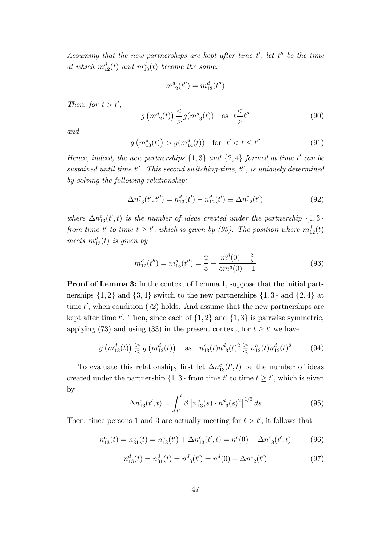Assuming that the new partnerships are kept after time  $t'$ , let  $t''$  be the time at which  $m_{12}^d(t)$  and  $m_{13}^d(t)$  become the same:

$$
m_{12}^d(t'') = m_{13}^d(t'')
$$

Then, for  $t > t'$ ,

$$
g\left(m_{12}^d(t)\right) \leq g(m_{13}^d(t)) \text{ as } t \leq t''
$$
 (90)

and

$$
g(m_{13}^d(t)) > g(m_{14}^d(t))
$$
 for  $t' < t \le t''$  (91)

Hence, indeed, the new partnerships  $\{1,3\}$  and  $\{2,4\}$  formed at time t' can be sustained until time  $t''$ . This second switching-time,  $t''$ , is uniquely determined by solving the following relationship:

$$
\Delta n_{13}^c(t',t'') = n_{13}^d(t') - n_{12}^d(t') \equiv \Delta n_{12}^c(t')
$$
\n(92)

where  $\Delta n_{13}^c(t',t)$  is the number of ideas created under the partnership  $\{1,3\}$ from time t' to time  $t \geq t'$ , which is given by (95). The position where  $m_{12}^d(t)$ meets  $m_{13}^d(t)$  is given by

$$
m_{12}^d(t'') = m_{13}^d(t'') = \frac{2}{5} - \frac{m^d(0) - \frac{2}{5}}{5m^d(0) - 1}
$$
\n(93)

**Proof of Lemma 3:** In the context of Lemma 1, suppose that the initial partnerships  $\{1,2\}$  and  $\{3,4\}$  switch to the new partnerships  $\{1,3\}$  and  $\{2,4\}$  at time  $t'$ , when condition (72) holds. And assume that the new partnerships are kept after time t'. Then, since each of  $\{1,2\}$  and  $\{1,3\}$  is pairwise symmetric, applying (73) and using (33) in the present context, for  $t \geq t'$  we have

$$
g\left(m_{13}^d(t)\right) \geq g\left(m_{12}^d(t)\right) \quad \text{as} \quad n_{13}^c(t)n_{13}^d(t)^2 \geq n_{12}^c(t)n_{12}^d(t)^2 \tag{94}
$$

To evaluate this relationship, first let  $\Delta n_{13}^c(t',t)$  be the number of ideas created under the partnership  $\{1,3\}$  from time t' to time  $t \geq t'$ , which is given by

$$
\Delta n_{13}^c(t',t) = \int_{t'}^t \beta \left[ n_{13}^c(s) \cdot n_{13}^d(s)^2 \right]^{1/3} ds \tag{95}
$$

Then, since persons 1 and 3 are actually meeting for  $t > t'$ , it follows that

$$
n_{13}^c(t) = n_{31}^c(t) = n_{13}^c(t') + \Delta n_{13}^c(t', t) = n^c(0) + \Delta n_{13}^c(t', t)
$$
(96)

$$
n_{13}^d(t) = n_{31}^d(t) = n_{13}^d(t') = n^d(0) + \Delta n_{12}^c(t')
$$
\n(97)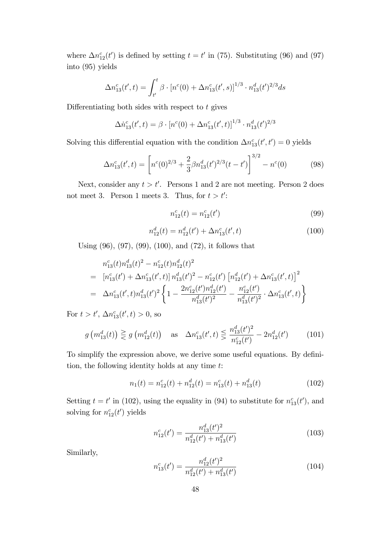where  $\Delta n_{12}^c(t')$  is defined by setting  $t = t'$  in (75). Substituting (96) and (97) into (95) yields

$$
\Delta n_{13}^c(t',t) = \int_{t'}^t \beta \cdot [n^c(0) + \Delta n_{13}^c(t',s)]^{1/3} \cdot n_{13}^d(t')^{2/3} ds
$$

Differentiating both sides with respect to  $t$  gives

$$
\Delta \dot{n}_{13}^c(t',t) = \beta \cdot [n^c(0) + \Delta n_{13}^c(t',t)]^{1/3} \cdot n_{13}^d(t')^{2/3}
$$

Solving this differential equation with the condition  $\Delta n_{13}^c(t',t') = 0$  yields

$$
\Delta n_{13}^c(t',t) = \left[ n^c(0)^{2/3} + \frac{2}{3} \beta n_{13}^d(t')^{2/3}(t-t') \right]^{3/2} - n^c(0) \tag{98}
$$

Next, consider any  $t > t'$ . Persons 1 and 2 are not meeting. Person 2 does not meet 3. Person 1 meets 3. Thus, for  $t > t'$ :

$$
n_{12}^c(t) = n_{12}^c(t') \tag{99}
$$

$$
n_{12}^d(t) = n_{12}^d(t') + \Delta n_{13}^c(t', t)
$$
\n(100)

Using (96), (97), (99), (100), and (72), it follows that

$$
n_{13}^c(t)n_{13}^d(t)^2 - n_{12}^c(t)n_{12}^d(t)^2
$$
  
= 
$$
[n_{13}^c(t') + \Delta n_{13}^c(t',t)] n_{13}^d(t')^2 - n_{12}^c(t') [n_{12}^d(t') + \Delta n_{13}^c(t',t)]^2
$$
  
= 
$$
\Delta n_{13}^c(t',t)n_{13}^d(t')^2 \left\{ 1 - \frac{2n_{12}^c(t')n_{12}^d(t')}{n_{13}^d(t')^2} - \frac{n_{12}^c(t')}{n_{13}^d(t')^2} \cdot \Delta n_{13}^c(t',t) \right\}
$$

For  $t > t'$ ,  $\Delta n_{13}^c(t', t) > 0$ , so

$$
g\left(m_{13}^d(t)\right) \geq g\left(m_{12}^d(t)\right) \quad \text{as} \quad \Delta n_{13}^c(t',t) \leq \frac{n_{13}^d(t')^2}{n_{12}^c(t')} - 2n_{12}^d(t') \tag{101}
$$

To simplify the expression above, we derive some useful equations. By definition, the following identity holds at any time  $t$ :

$$
n_1(t) = n_{12}^c(t) + n_{12}^d(t) = n_{13}^c(t) + n_{13}^d(t)
$$
\n(102)

Setting  $t = t'$  in (102), using the equality in (94) to substitute for  $n_{13}^c(t')$ , and solving for  $n_{12}^c(t')$  yields

$$
n_{12}^c(t') = \frac{n_{13}^d(t')^2}{n_{12}^d(t') + n_{13}^d(t')}
$$
\n(103)

Similarly,

$$
n_{13}^c(t') = \frac{n_{12}^d(t')^2}{n_{12}^d(t') + n_{13}^d(t')}
$$
\n(104)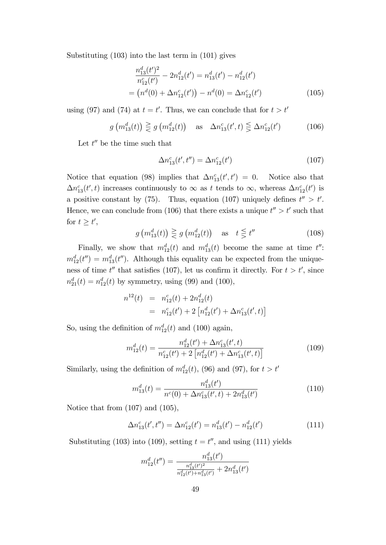Substituting (103) into the last term in (101) gives

$$
\frac{n_{13}^d(t')^2}{n_{12}^c(t')} - 2n_{12}^d(t') = n_{13}^d(t') - n_{12}^d(t')
$$
  
= 
$$
(n^d(0) + \Delta n_{12}^c(t')) - n^d(0) = \Delta n_{12}^c(t')
$$
 (105)

using (97) and (74) at  $t = t'$ . Thus, we can conclude that for  $t > t'$ 

$$
g\left(m_{13}^d(t)\right) \geq g\left(m_{12}^d(t)\right) \quad \text{as} \quad \Delta n_{13}^c(t',t) \leq \Delta n_{12}^c(t') \tag{106}
$$

Let  $t''$  be the time such that

$$
\Delta n_{13}^c(t',t'') = \Delta n_{12}^c(t') \tag{107}
$$

Notice that equation (98) implies that  $\Delta n_{13}^c(t',t')$ Notice also that  $\Delta n_{13}^c(t',t)$  increases continuously to  $\infty$  as t tends to  $\infty$ , whereas  $\Delta n_{12}^c(t')$  is a positive constant by (75). Thus, equation (107) uniquely defines  $t'' > t'$ . Hence, we can conclude from (106) that there exists a unique  $t'' > t'$  such that for  $t \geq t'$ ,

$$
g\left(m_{13}^d(t)\right) \geq g\left(m_{12}^d(t)\right) \quad \text{as} \quad t \leq t'' \tag{108}
$$

Finally, we show that  $m_{12}^d(t)$  and  $m_{13}^d(t)$  become the same at time t'':  $m_{12}^d(t'') = m_{13}^d(t'')$ . Although this equality can be expected from the uniqueness of time  $t''$  that satisfies (107), let us confirm it directly. For  $t > t'$ , since  $n_{21}^d(t) = n_{12}^d(t)$  by symmetry, using (99) and (100),

$$
n^{12}(t) = n_{12}^c(t) + 2n_{12}^d(t)
$$
  
=  $n_{12}^c(t') + 2[n_{12}^d(t') + \Delta n_{13}^c(t', t)]$ 

So, using the definition of  $m_{12}^d(t)$  and (100) again,

$$
m_{12}^d(t) = \frac{n_{12}^d(t') + \Delta n_{13}^c(t',t)}{n_{12}^c(t') + 2\left[n_{12}^d(t') + \Delta n_{13}^c(t',t)\right]}
$$
(109)

Similarly, using the definition of  $m_{12}^d(t)$ , (96) and (97), for  $t > t'$ 

$$
m_{13}^d(t) = \frac{n_{13}^d(t')}{n^c(0) + \Delta n_{13}^c(t', t) + 2n_{13}^d(t')}
$$
\n(110)

Notice that from (107) and (105),

$$
\Delta n_{13}^c(t',t'') = \Delta n_{12}^c(t') = n_{13}^d(t') - n_{12}^d(t')
$$
\n(111)

Substituting (103) into (109), setting  $t = t''$ , and using (111) yields

$$
m_{12}^d(t'') = \frac{n_{13}^d(t')}{\frac{n_{13}^d(t')^2}{n_{12}^d(t') + n_{13}^d(t')} + 2n_{13}^d(t')}
$$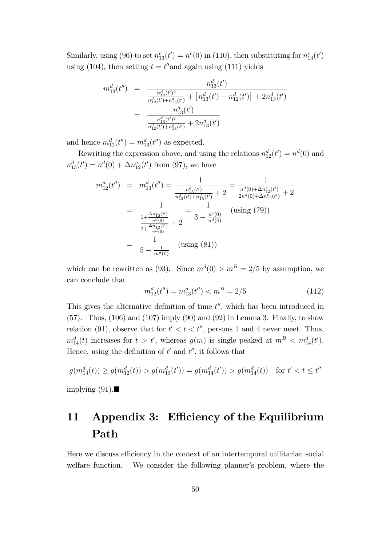Similarly, using (96) to set  $n_{13}^c(t') = n^c(0)$  in (110), then substituting for  $n_{13}^c(t')$ using (104), then setting  $t = t''$  and again using (111) yields

$$
m_{13}^d(t'') = \frac{n_{12}^d(t')}{\frac{n_{12}^d(t')^2}{n_{12}^d(t') + n_{13}^d(t')} + [n_{13}^d(t') - n_{12}^d(t')] + 2n_{13}^d(t')}
$$

$$
= \frac{n_{13}^d(t')}{\frac{n_{13}^d(t')^2}{n_{12}^d(t') + n_{13}^d(t')} + 2n_{13}^d(t')}
$$

and hence  $m_{12}^d(t'') = m_{13}^d(t'')$  as expected.

Rewriting the expression above, and using the relations  $n_{12}^d(t') = n^d(0)$  and  $n_{13}^d(t') = n^d(0) + \Delta n_{12}^c(t')$  from (97), we have

$$
m_{12}^d(t'') = m_{13}^d(t'') = \frac{1}{\frac{n_{13}^d(t')}{n_{12}^d(t') + n_{13}^d(t')}} + 2 = \frac{1}{\frac{n^d(0) + \Delta n_{12}^c(t')}{2n^d(0) + \Delta n_{12}^c(t')}} + 2
$$
  

$$
= \frac{1}{\frac{1 + \frac{\Delta n_{12}^c(t')}{n^d(0)}}{2 + \frac{\Delta n_{12}^c(t')}{n^d(0)}} + 2} = \frac{1}{3 - \frac{n^c(0)}{n^d(0)}} \quad \text{(using (79))}
$$
  

$$
= \frac{1}{5 - \frac{1}{m^d(0)}} \quad \text{(using (81))}
$$

which can be rewritten as (93). Since  $m<sup>d</sup>(0) > m<sup>B</sup> = 2/5$  by assumption, we can conclude that

$$
m_{12}^d(t'') = m_{13}^d(t'') < m^B = 2/5 \tag{112}
$$

This gives the alternative definition of time  $t''$ , which has been introduced in (57). Thus, (106) and (107) imply (90) and (92) in Lemma 3. Finally, to show relation (91), observe that for  $t' < t < t''$ , persons 1 and 4 never meet. Thus,  $m_{14}^d(t)$  increases for  $t > t'$ , whereas  $g(m)$  is single peaked at  $m^B < m_{14}^d(t')$ . Hence, using the definition of  $t'$  and  $t''$ , it follows that

$$
g(m_{13}^d(t)) \ge g(m_{12}^d(t)) > g(m_{13}^d(t')) = g(m_{14}^d(t')) > g(m_{14}^d(t)) \text{ for } t' < t \le t''
$$

implying  $(91)$ .

# 11 Appendix 3: Efficiency of the Equilibrium Path

Here we discuss efficiency in the context of an intertemporal utilitarian social welfare function. We consider the following planner's problem, where the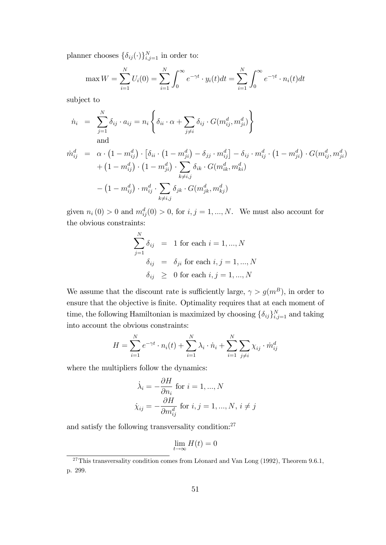planner chooses  $\{\delta_{ij}(\cdot)\}_{i,j=1}^N$  in order to:

$$
\max W = \sum_{i=1}^{N} U_i(0) = \sum_{i=1}^{N} \int_0^{\infty} e^{-\gamma t} \cdot y_i(t) dt = \sum_{i=1}^{N} \int_0^{\infty} e^{-\gamma t} \cdot n_i(t) dt
$$

subject to

$$
\dot{n}_i = \sum_{j=1}^N \delta_{ij} \cdot a_{ij} = n_i \left\{ \delta_{ii} \cdot \alpha + \sum_{j \neq i} \delta_{ij} \cdot G(m_{ij}^d, m_{ji}^d) \right\}
$$
 and

$$
\dot{m}_{ij}^{d} = \alpha \cdot (1 - m_{ij}^{d}) \cdot [\delta_{ii} \cdot (1 - m_{ji}^{d}) - \delta_{jj} \cdot m_{ij}^{d}] - \delta_{ij} \cdot m_{ij}^{d} \cdot (1 - m_{ji}^{d}) \cdot G(m_{ij}^{d}, m_{ji}^{d}) \n+ (1 - m_{ij}^{d}) \cdot (1 - m_{ji}^{d}) \cdot \sum_{k \neq i,j} \delta_{ik} \cdot G(m_{ik}^{d}, m_{ki}^{d}) \n- (1 - m_{ij}^{d}) \cdot m_{ij}^{d} \cdot \sum_{k \neq i,j} \delta_{jk} \cdot G(m_{jk}^{d}, m_{kj}^{d})
$$

given  $n_i(0) > 0$  and  $m_{ij}^d(0) > 0$ , for  $i, j = 1, ..., N$ . We must also account for the obvious constraints:

$$
\sum_{j=1}^{N} \delta_{ij} = 1 \text{ for each } i = 1, ..., N
$$

$$
\delta_{ij} = \delta_{ji} \text{ for each } i, j = 1, ..., N
$$

$$
\delta_{ij} \geq 0 \text{ for each } i, j = 1, ..., N
$$

We assume that the discount rate is sufficiently large,  $\gamma > g(m^B)$ , in order to ensure that the objective is finite. Optimality requires that at each moment of time, the following Hamiltonian is maximized by choosing  $\{\delta_{ij}\}_{i,j=1}^N$  and taking into account the obvious constraints:

$$
H = \sum_{i=1}^{N} e^{-\gamma t} \cdot n_i(t) + \sum_{i=1}^{N} \lambda_i \cdot \dot{n}_i + \sum_{i=1}^{N} \sum_{j \neq i} \chi_{ij} \cdot \dot{m}_{ij}^d
$$

where the multipliers follow the dynamics:

$$
\dot{\lambda}_i = -\frac{\partial H}{\partial n_i} \text{ for } i = 1, ..., N
$$

$$
\dot{\chi}_{ij} = -\frac{\partial H}{\partial m_{ij}^d} \text{ for } i, j = 1, ..., N, i \neq j
$$

and satisfy the following transversality condition:  $27\,$ 

$$
\lim_{t \to \infty} H(t) = 0
$$

 $\frac{27}{127}$ This transversality condition comes from Léonard and Van Long (1992), Theorem 9.6.1, p. 299.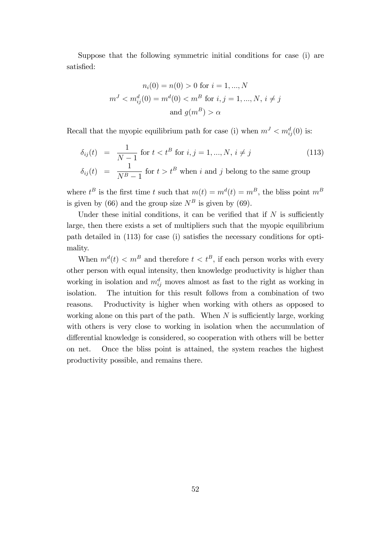Suppose that the following symmetric initial conditions for case (i) are satisfied:

$$
n_i(0) = n(0) > 0 \text{ for } i = 1, ..., N
$$
  

$$
mJ < m_{ij}^d(0) = md(0) < mB \text{ for } i, j = 1, ..., N, i \neq j
$$
  
and 
$$
g(mB) > \alpha
$$

Recall that the myopic equilibrium path for case (i) when  $m<sup>J</sup> < m_{ij}^d(0)$  is:

$$
\delta_{ij}(t) = \frac{1}{N-1} \text{ for } t < t^B \text{ for } i, j = 1, \dots, N, i \neq j \tag{113}
$$
\n
$$
\delta_{ij}(t) = \frac{1}{N^B - 1} \text{ for } t > t^B \text{ when } i \text{ and } j \text{ belong to the same group}
$$

where  $t^B$  is the first time t such that  $m(t) = m^d(t) = m^B$ , the bliss point  $m^B$ is given by (66) and the group size  $N^B$  is given by (69).

Under these initial conditions, it can be verified that if  $N$  is sufficiently large, then there exists a set of multipliers such that the myopic equilibrium path detailed in  $(113)$  for case  $(i)$  satisfies the necessary conditions for optimality.

When  $m^d(t) < m^B$  and therefore  $t < t^B$ , if each person works with every other person with equal intensity, then knowledge productivity is higher than working in isolation and  $m_{ij}^d$  moves almost as fast to the right as working in isolation. The intuition for this result follows from a combination of two reasons. Productivity is higher when working with others as opposed to working alone on this part of the path. When  $N$  is sufficiently large, working with others is very close to working in isolation when the accumulation of differential knowledge is considered, so cooperation with others will be better on net. Once the bliss point is attained, the system reaches the highest productivity possible, and remains there.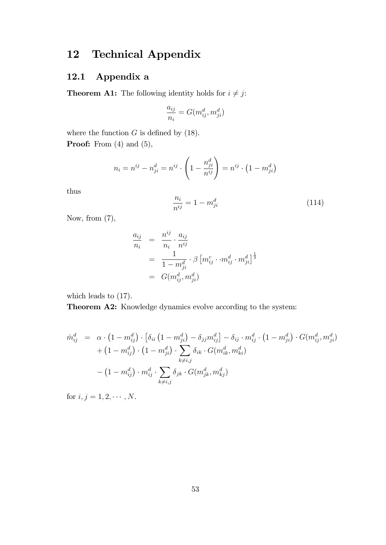# 12 Technical Appendix

# 12.1 Appendix a

**Theorem A1:** The following identity holds for  $i \neq j$ :

$$
\frac{a_{ij}}{n_i} = G(m_{ij}^d, m_{ji}^d)
$$

where the function  $G$  is defined by  $(18)$ . **Proof:** From  $(4)$  and  $(5)$ ,

$$
n_{i} = n^{ij} - n_{ji}^{d} = n^{ij} \cdot \left(1 - \frac{n_{ji}^{d}}{n^{ij}}\right) = n^{ij} \cdot \left(1 - m_{ji}^{d}\right)
$$

thus

$$
\frac{n_i}{n^{ij}} = 1 - m_{ji}^d \tag{114}
$$

Now, from (7),

$$
\frac{a_{ij}}{n_i} = \frac{n^{ij}}{n_i} \cdot \frac{a_{ij}}{n^{ij}}
$$
  
= 
$$
\frac{1}{1 - m_{ji}^d} \cdot \beta \left[ m_{ij}^c \cdot m_{ij}^d \cdot m_{ji}^d \right]^{\frac{1}{3}}
$$
  
= 
$$
G(m_{ij}^d, m_{ji}^d)
$$

which leads to  $(17)$ .

Theorem A2: Knowledge dynamics evolve according to the system:

$$
\dot{m}_{ij}^{d} = \alpha \cdot (1 - m_{ij}^{d}) \cdot [\delta_{ii} (1 - m_{ji}^{d}) - \delta_{jj} m_{ij}^{d}] - \delta_{ij} \cdot m_{ij}^{d} \cdot (1 - m_{ji}^{d}) \cdot G(m_{ij}^{d}, m_{ji}^{d}) \n+ (1 - m_{ij}^{d}) \cdot (1 - m_{ji}^{d}) \cdot \sum_{k \neq i,j} \delta_{ik} \cdot G(m_{ik}^{d}, m_{ki}^{d}) \n- (1 - m_{ij}^{d}) \cdot m_{ij}^{d} \cdot \sum_{k \neq i,j} \delta_{jk} \cdot G(m_{jk}^{d}, m_{kj}^{d})
$$

for  $i, j = 1, 2, \cdots, N$ .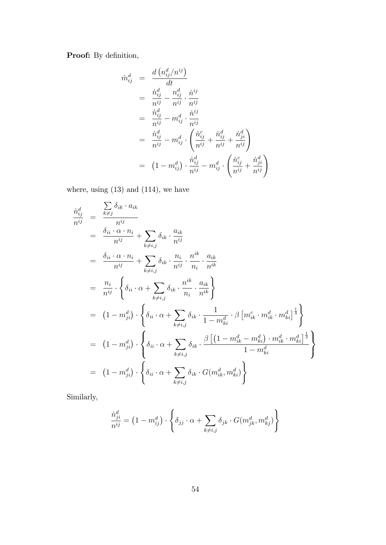Proof: By definition,

$$
\dot{m}_{ij}^d = \frac{d\left(n_{ij}^d/n^{ij}\right)}{dt} \n= \frac{\dot{n}_{ij}^d}{n^{ij}} - \frac{n_{ij}^d}{n^{ij}} \cdot \frac{\dot{n}^{ij}}{n^{ij}} \n= \frac{\dot{n}_{ij}^d}{n^{ij}} - m_{ij}^d \cdot \frac{\dot{n}^{ij}}{n^{ij}} \n= \frac{\dot{n}_{ij}^d}{n^{ij}} - m_{ij}^d \cdot \left(\frac{\dot{n}_{ij}^c}{n^{ij}} + \frac{\dot{n}_{ij}^d}{n^{ij}} + \frac{\dot{n}_{ji}^d}{n^{ij}}\right) \n= \left(1 - m_{ij}^d\right) \cdot \frac{\dot{n}_{ij}^d}{n^{ij}} - m_{ij}^d \cdot \left(\frac{\dot{n}_{ij}^c}{n^{ij}} + \frac{\dot{n}_{ji}^d}{n^{ij}}\right)
$$

where, using (13) and (114), we have

$$
\begin{split}\n\frac{\dot{n}_{ij}^d}{n^{ij}} &= \frac{\sum\limits_{k \neq j} \delta_{ik} \cdot a_{ik}}{n^{ij}} \\
&= \frac{\delta_{ii} \cdot \alpha \cdot n_i}{n^{ij}} + \sum_{k \neq i,j} \delta_{ik} \cdot \frac{a_{ik}}{n^{ij}} \\
&= \frac{\delta_{ii} \cdot \alpha \cdot n_i}{n^{ij}} + \sum_{k \neq i,j} \delta_{ik} \cdot \frac{n_i}{n^{ij}} \cdot \frac{n^{ik}}{n_i} \cdot \frac{a_{ik}}{n^{ik}} \\
&= \frac{n_i}{n^{ij}} \cdot \left\{ \delta_{ii} \cdot \alpha + \sum_{k \neq i,j} \delta_{ik} \cdot \frac{n^{ik}}{n_i} \cdot \frac{a_{ik}}{n^{ik}} \right\} \\
&= (1 - m_{ji}^d) \cdot \left\{ \delta_{ii} \cdot \alpha + \sum_{k \neq i,j} \delta_{ik} \cdot \frac{1}{1 - m_{ki}^d} \cdot \beta \left[ m_{ik}^c \cdot m_{ik}^d \cdot m_{ki}^d \right]^{\frac{1}{3}} \right\} \\
&= (1 - m_{ji}^d) \cdot \left\{ \delta_{ii} \cdot \alpha + \sum_{k \neq i,j} \delta_{ik} \cdot \frac{\beta \left[ \left( 1 - m_{ik}^d - m_{ki}^d \right) \cdot m_{ik}^d \cdot m_{ki}^d \right]^{\frac{1}{3}}}{1 - m_{ki}^d} \right\} \\
&= (1 - m_{ji}^d) \cdot \left\{ \delta_{ii} \cdot \alpha + \sum_{k \neq i,j} \delta_{ik} \cdot G(m_{ik}^d, m_{ki}^d) \right\}\n\end{split}
$$

Similarly,

$$
\frac{\dot{n}_{ji}^d}{n^{ij}} = \left(1 - m_{ij}^d\right) \cdot \left\{\delta_{jj} \cdot \alpha + \sum_{k \neq i,j} \delta_{jk} \cdot G(m_{jk}^d, m_{kj}^d)\right\}
$$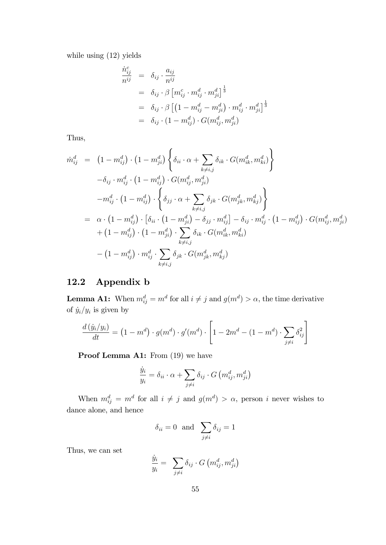while using (12) yields

$$
\dot{n}_{ij}^c = \delta_{ij} \cdot \frac{a_{ij}}{n^{ij}}
$$
\n
$$
= \delta_{ij} \cdot \beta \left[ m_{ij}^c \cdot m_{ij}^d \cdot m_{ji}^d \right]^{\frac{1}{3}}
$$
\n
$$
= \delta_{ij} \cdot \beta \left[ \left( 1 - m_{ij}^d - m_{ji}^d \right) \cdot m_{ij}^d \cdot m_{ji}^d \right]^{\frac{1}{3}}
$$
\n
$$
= \delta_{ij} \cdot \left( 1 - m_{ij}^d \right) \cdot G(m_{ij}^d, m_{ji}^d)
$$

Thus,

$$
\dot{m}_{ij}^{d} = (1 - m_{ij}^{d}) \cdot (1 - m_{ji}^{d}) \left\{ \delta_{ii} \cdot \alpha + \sum_{k \neq i,j} \delta_{ik} \cdot G(m_{ik}^{d}, m_{ki}^{d}) \right\} \n- \delta_{ij} \cdot m_{ij}^{d} \cdot (1 - m_{ij}^{d}) \cdot G(m_{ij}^{d}, m_{ji}^{d}) \n- m_{ij}^{d} \cdot (1 - m_{ij}^{d}) \cdot \left\{ \delta_{jj} \cdot \alpha + \sum_{k \neq i,j} \delta_{jk} \cdot G(m_{jk}^{d}, m_{kj}^{d}) \right\} \n= \alpha \cdot (1 - m_{ij}^{d}) \cdot [\delta_{ii} \cdot (1 - m_{ji}^{d}) - \delta_{jj} \cdot m_{ij}^{d}] - \delta_{ij} \cdot m_{ij}^{d} \cdot (1 - m_{ij}^{d}) \cdot G(m_{ij}^{d}, m_{ji}^{d}) \n+ (1 - m_{ij}^{d}) \cdot (1 - m_{ji}^{d}) \cdot \sum_{k \neq i,j} \delta_{ik} \cdot G(m_{ik}^{d}, m_{ki}^{d}) \n- (1 - m_{ij}^{d}) \cdot m_{ij}^{d} \cdot \sum_{k \neq i,j} \delta_{jk} \cdot G(m_{jk}^{d}, m_{kj}^{d})
$$

## 12.2 Appendix b

**Lemma A1:** When  $m_{ij}^d = m^d$  for all  $i \neq j$  and  $g(m^d) > \alpha$ , the time derivative of  $\dot{y}_i/y_i$  is given by

$$
\frac{d(\dot{y}_i/y_i)}{dt} = (1 - m^d) \cdot g(m^d) \cdot g'(m^d) \cdot \left[1 - 2m^d - (1 - m^d) \cdot \sum_{j \neq i} \delta_{ij}^2\right]
$$

Proof Lemma A1: From (19) we have

$$
\frac{\dot{y}_i}{y_i} = \delta_{ii} \cdot \alpha + \sum_{j \neq i} \delta_{ij} \cdot G\left(m_{ij}^d, m_{ji}^d\right)
$$

When  $m_{ij}^d = m^d$  for all  $i \neq j$  and  $g(m^d) > \alpha$ , person i never wishes to dance alone, and hence

$$
\delta_{ii} = 0 \text{ and } \sum_{j \neq i} \delta_{ij} = 1
$$

Thus, we can set

$$
\frac{\dot{y}_i}{y_i} = \sum_{j \neq i} \delta_{ij} \cdot G\left(m_{ij}^d, m_{ji}^d\right)
$$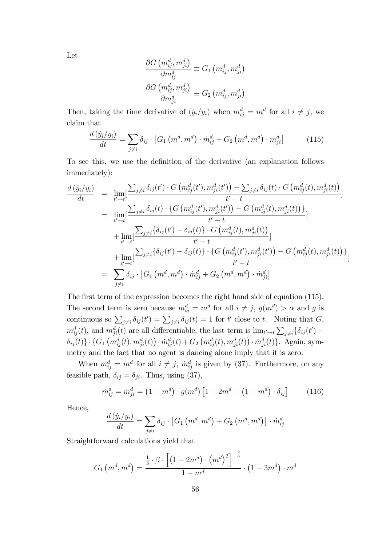Let

$$
\frac{\partial G\left(m_{ij}^d, m_{ji}^d\right)}{\partial m_{ij}^d} \equiv G_1\left(m_{ij}^d, m_{ji}^d\right)
$$

$$
\frac{\partial G\left(m_{ij}^d, m_{ji}^d\right)}{\partial m_{ji}^d} \equiv G_2\left(m_{ij}^d, m_{ji}^d\right)
$$

Then, taking the time derivative of  $(i_i/y_i)$  when  $m_{ij}^d = m^d$  for all  $i \neq j$ , we claim that

$$
\frac{d\left(\dot{y}_i/y_i\right)}{dt} = \sum_{j\neq i} \delta_{ij} \cdot \left[G_1\left(m^d, m^d\right) \cdot \dot{m}_{ij}^d + G_2\left(m^d, m^d\right) \cdot \dot{m}_{ji}^d\right] \tag{115}
$$

To see this, we use the definition of the derivative (an explanation follows immediately):

$$
\frac{d(\dot{y}_i/y_i)}{dt} = \lim_{t' \to t} \left[ \frac{\sum_{j \neq i} \delta_{ij}(t') \cdot G(m_{ij}^d(t'), m_{ji}^d(t')) - \sum_{j \neq i} \delta_{ij}(t) \cdot G(m_{ij}^d(t), m_{ji}^d(t))}{t' - t} \right]
$$
\n
$$
= \lim_{t' \to t} \left[ \frac{\sum_{j \neq i} \delta_{ij}(t) \cdot \{G(m_{ij}^d(t'), m_{ji}^d(t')) - G(m_{ij}^d(t), m_{ji}^d(t))\}}{t' - t} \right]
$$
\n
$$
+ \lim_{t' \to t} \left[ \frac{\sum_{j \neq i} \{ \delta_{ij}(t') - \delta_{ij}(t) \} \cdot G(m_{ij}^d(t), m_{ji}^d(t))}{t' - t} \right]
$$
\n
$$
+ \lim_{t' \to t} \left[ \frac{\sum_{j \neq i} \{ \delta_{ij}(t') - \delta_{ij}(t) \} \cdot \{G(m_{ij}^d(t'), m_{ji}^d(t')) - G(m_{ij}^d(t), m_{ji}^d(t)) \}}{t' - t} \right]
$$
\n
$$
= \sum_{j \neq i} \delta_{ij} \cdot \left[ G_1(m^d, m^d) \cdot \dot{m}_{ij}^d + G_2(m^d, m^d) \cdot \dot{m}_{ji}^d \right]
$$

The first term of the expression becomes the right hand side of equation (115). The second term is zero because  $m_{ij}^d = m^d$  for all  $i \neq j$ ,  $g(m^d) > \alpha$  and g is continuous so  $\sum_{j\neq i} \delta_{ij}(t') = \sum_{j\neq i} \delta_{ij}(t) = 1$  for  $t'$  close to  $t$ . Noting that  $G$ ,  $m_{ij}^d(t)$ , and  $m_{ji}^d(t)$  are all differentiable, the last term is  $\lim_{t'\to t} \sum_{j\neq i} {\delta_{ij}(t')}$  $\delta_{ij}(t) \} \cdot \{G_1(m_{ij}^d(t), m_{ji}^d(t)) \cdot m_{ij}^d(t) + G_2(m_{ij}^d(t), m_{ji}^d(t)) \cdot m_{ji}^d(t) \}.$  Again, symmetry and the fact that no agent is dancing alone imply that it is zero.

When  $m_{ij}^d = m^d$  for all  $i \neq j$ ,  $\dot{m}_{ij}^d$  is given by (37). Furthermore, on any feasible path,  $\delta_{ij} = \delta_{ji}$ . Thus, using (37),

$$
\dot{m}_{ij}^d = \dot{m}_{ji}^d = (1 - m^d) \cdot g(m^d) \left[ 1 - 2m^d - (1 - m^d) \cdot \delta_{ij} \right]
$$
(116)

Hence,

$$
\frac{d\left(\dot{y}_i/y_i\right)}{dt} = \sum_{j\neq i} \delta_{ij} \cdot \left[G_1\left(m^d, m^d\right) + G_2\left(m^d, m^d\right)\right] \cdot \dot{m}_{ij}^d
$$

Straightforward calculations yield that

$$
G_1\left(m^d, m^d\right) = \frac{\frac{1}{3} \cdot \beta \cdot \left[\left(1 - 2m^d\right) \cdot \left(m^d\right)^2\right]^{-\frac{2}{3}}}{1 - m^d} \cdot \left(1 - 3m^d\right) \cdot m^d
$$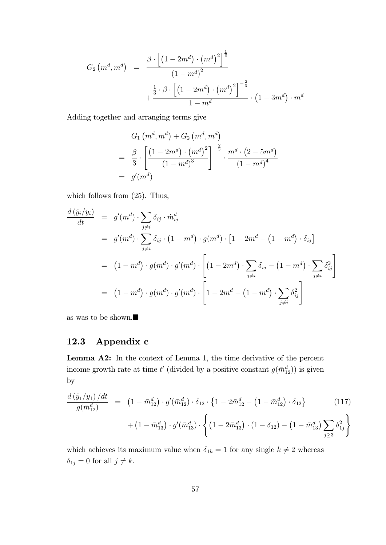$$
G_2(m^d, m^d) = \frac{\beta \cdot \left[ \left( 1 - 2m^d \right) \cdot \left( m^d \right)^2 \right]^{\frac{1}{3}}}{\left( 1 - m^d \right)^2} + \frac{\frac{1}{3} \cdot \beta \cdot \left[ \left( 1 - 2m^d \right) \cdot \left( m^d \right)^2 \right]^{-\frac{2}{3}}}{1 - m^d} \cdot \left( 1 - 3m^d \right) \cdot m^d
$$

Adding together and arranging terms give

$$
G_1(m^d, m^d) + G_2(m^d, m^d)
$$
  
=  $\frac{\beta}{3} \cdot \left[ \frac{(1 - 2m^d) \cdot (m^d)^2}{(1 - m^d)^3} \right]^{-\frac{2}{3}} \cdot \frac{m^d \cdot (2 - 5m^d)}{(1 - m^d)^4}$   
=  $g'(m^d)$ 

which follows from  $(25)$ . Thus,

$$
\frac{d(\dot{y}_i/y_i)}{dt} = g'(m^d) \cdot \sum_{j \neq i} \delta_{ij} \cdot \dot{m}_{ij}^d
$$
\n
$$
= g'(m^d) \cdot \sum_{j \neq i} \delta_{ij} \cdot (1 - m^d) \cdot g(m^d) \cdot [1 - 2m^d - (1 - m^d) \cdot \delta_{ij}]
$$
\n
$$
= (1 - m^d) \cdot g(m^d) \cdot g'(m^d) \cdot \left[ (1 - 2m^d) \cdot \sum_{j \neq i} \delta_{ij} - (1 - m^d) \cdot \sum_{j \neq i} \delta_{ij}^2 \right]
$$
\n
$$
= (1 - m^d) \cdot g(m^d) \cdot g'(m^d) \cdot \left[ 1 - 2m^d - (1 - m^d) \cdot \sum_{j \neq i} \delta_{ij}^2 \right]
$$

as was to be shown.

## 12.3 Appendix c

Lemma A2: In the context of Lemma 1, the time derivative of the percent income growth rate at time  $t'$  (divided by a positive constant  $g(\bar{m}_{12}^d)$ ) is given by

$$
\frac{d(\dot{y}_1/y_1)/dt}{g(\bar{m}_{12}^d)} = (1 - \bar{m}_{12}^d) \cdot g'(\bar{m}_{12}^d) \cdot \delta_{12} \cdot \{1 - 2\bar{m}_{12}^d - (1 - \bar{m}_{12}^d) \cdot \delta_{12}\} \qquad (117)
$$

$$
+ (1 - \bar{m}_{13}^d) \cdot g'(\bar{m}_{13}^d) \cdot \left\{ (1 - 2\bar{m}_{13}^d) \cdot (1 - \delta_{12}) - (1 - \bar{m}_{13}^d) \sum_{j \ge 3} \delta_{1j}^2 \right\}
$$

which achieves its maximum value when  $\delta_{1k} = 1$  for any single  $k \neq 2$  whereas  $\delta_{1j} = 0$  for all  $j \neq k.$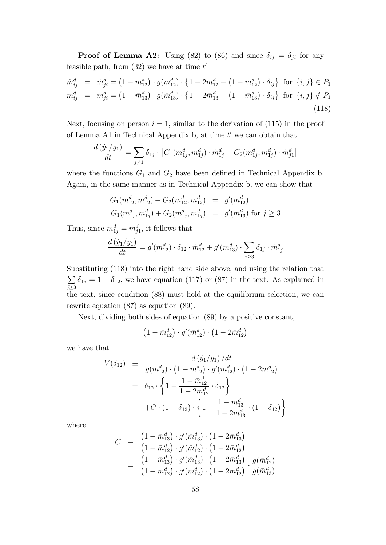**Proof of Lemma A2:** Using (82) to (86) and since  $\delta_{ij} = \delta_{ji}$  for any feasible path, from  $(32)$  we have at time  $t'$ 

$$
\dot{m}_{ij}^d = \dot{m}_{ji}^d = (1 - \bar{m}_{12}^d) \cdot g(\bar{m}_{12}^d) \cdot \{1 - 2\bar{m}_{12}^d - (1 - \bar{m}_{12}^d) \cdot \delta_{ij}\} \text{ for } \{i, j\} \in P_1
$$
\n
$$
\dot{m}_{ij}^d = \dot{m}_{ji}^d = (1 - \bar{m}_{13}^d) \cdot g(\bar{m}_{13}^d) \cdot \{1 - 2\bar{m}_{13}^d - (1 - \bar{m}_{13}^d) \cdot \delta_{ij}\} \text{ for } \{i, j\} \notin P_1
$$
\n(118)

Next, focusing on person  $i = 1$ , similar to the derivation of (115) in the proof of Lemma A1 in Technical Appendix b, at time  $t'$  we can obtain that

$$
\frac{d(y_1/y_1)}{dt} = \sum_{j\neq 1} \delta_{1j} \cdot \left[ G_1(m_{1j}^d, m_{1j}^d) \cdot \dot{m}_{1j}^d + G_2(m_{1j}^d, m_{1j}^d) \cdot \dot{m}_{j1}^d \right]
$$

where the functions  $G_1$  and  $G_2$  have been defined in Technical Appendix b. Again, in the same manner as in Technical Appendix b, we can show that

$$
G_1(m_{12}^d, m_{12}^d) + G_2(m_{12}^d, m_{12}^d) = g'(\bar{m}_{12}^d)
$$
  

$$
G_1(m_{1j}^d, m_{1j}^d) + G_2(m_{1j}^d, m_{1j}^d) = g'(\bar{m}_{13}^d) \text{ for } j \ge 3
$$

Thus, since  $\dot{m}_{1j}^d = \dot{m}_{j1}^d$ , it follows that

$$
\frac{d\left(\dot{y}_1/y_1\right)}{dt}=g'(m_{12}^d)\cdot\delta_{12}\cdot\dot{m}_{12}^d+g'(m_{13}^d)\cdot\sum_{j\ge3}\delta_{1j}\cdot\dot{m}_{1j}^d
$$

Substituting (118) into the right hand side above, and using the relation that  $\sum$  $j \geq 3$  $\delta_{1j} = 1 - \delta_{12}$ , we have equation (117) or (87) in the text. As explained in the text, since condition (88) must hold at the equilibrium selection, we can rewrite equation (87) as equation (89).

Next, dividing both sides of equation (89) by a positive constant,

$$
(1 - \bar{m}_{12}^d) \cdot g'(\bar{m}_{12}^d) \cdot (1 - 2\bar{m}_{12}^d)
$$

we have that

$$
V(\delta_{12}) \equiv \frac{d(\dot{y}_1/y_1)/dt}{g(\bar{m}_{12}^d) \cdot (1 - \bar{m}_{12}^d) \cdot g'(\bar{m}_{12}^d) \cdot (1 - 2\bar{m}_{12}^d)}
$$
  

$$
= \delta_{12} \cdot \left\{ 1 - \frac{1 - \bar{m}_{12}^d}{1 - 2\bar{m}_{12}^d} \cdot \delta_{12} \right\}
$$
  

$$
+ C \cdot (1 - \delta_{12}) \cdot \left\{ 1 - \frac{1 - \bar{m}_{13}^d}{1 - 2\bar{m}_{13}^d} \cdot (1 - \delta_{12}) \right\}
$$

where

$$
C = \frac{\left(1 - \bar{m}_{13}^d\right) \cdot g'(\bar{m}_{13}^d) \cdot \left(1 - 2\bar{m}_{13}^d\right)}{\left(1 - \bar{m}_{12}^d\right) \cdot g'(\bar{m}_{12}^d) \cdot \left(1 - 2\bar{m}_{12}^d\right)}
$$
  
= 
$$
\frac{\left(1 - \bar{m}_{13}^d\right) \cdot g'(\bar{m}_{13}^d) \cdot \left(1 - 2\bar{m}_{13}^d\right)}{\left(1 - \bar{m}_{12}^d\right) \cdot g'(\bar{m}_{12}^d) \cdot \left(1 - 2\bar{m}_{12}^d\right)} \cdot \frac{g(\bar{m}_{12}^d)}{g(\bar{m}_{13}^d)}
$$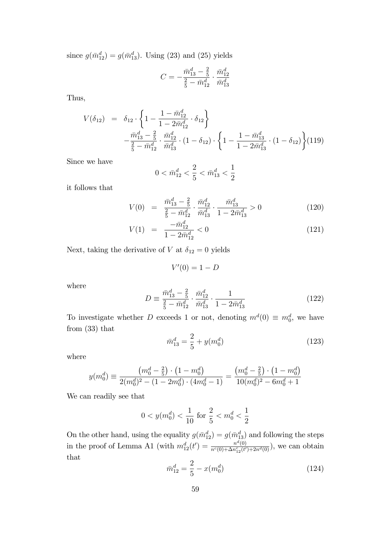since  $g(\bar{m}_{12}^d) = g(\bar{m}_{13}^d)$ . Using (23) and (25) yields

$$
C = -\frac{\bar{m}_{13}^d - \frac{2}{5}}{\frac{2}{5} - \bar{m}_{12}^d} \cdot \frac{\bar{m}_{12}^d}{\bar{m}_{13}^d}
$$

Thus,

$$
V(\delta_{12}) = \delta_{12} \cdot \left\{ 1 - \frac{1 - \bar{m}_{12}^d}{1 - 2\bar{m}_{12}^d} \cdot \delta_{12} \right\}
$$

$$
- \frac{\bar{m}_{13}^d - \frac{2}{5}}{\frac{2}{5} - \bar{m}_{12}^d} \cdot \frac{\bar{m}_{12}^d}{\bar{m}_{13}^d} \cdot (1 - \delta_{12}) \cdot \left\{ 1 - \frac{1 - \bar{m}_{13}^d}{1 - 2\bar{m}_{13}^d} \cdot (1 - \delta_{12}) \right\} (119)
$$

Since we have

$$
0<\bar{m}_{12}^d<\frac{2}{5}<\bar{m}_{13}^d<\frac{1}{2}
$$

it follows that

$$
V(0) = \frac{\bar{m}_{13}^d - \frac{2}{5}}{\frac{2}{5} - \bar{m}_{12}^d} \cdot \frac{\bar{m}_{12}^d}{\bar{m}_{13}^d} \cdot \frac{\bar{m}_{13}^d}{1 - 2\bar{m}_{13}^d} > 0
$$
 (120)

$$
V(1) = \frac{-\bar{m}_{12}^d}{1 - 2\bar{m}_{12}^d} < 0 \tag{121}
$$

Next, taking the derivative of V at  $\delta_{12} = 0$  yields

$$
V'(0) = 1 - D
$$

where

$$
D \equiv \frac{\bar{m}_{13}^d - \frac{2}{5}}{\frac{2}{5} - \bar{m}_{12}^d} \cdot \frac{\bar{m}_{12}^d}{\bar{m}_{13}^d} \cdot \frac{1}{1 - 2\bar{m}_{13}^d}
$$
(122)

To investigate whether D exceeds 1 or not, denoting  $m^d(0) \equiv m_0^d$ , we have from (33) that

$$
\bar{m}_{13}^d = \frac{2}{5} + y(m_0^d) \tag{123}
$$

where

$$
y(m_0^d) \equiv \frac{\left(m_0^d - \frac{2}{5}\right) \cdot \left(1 - m_0^d\right)}{2(m_0^d)^2 - \left(1 - 2m_0^d\right) \cdot \left(4m_0^d - 1\right)} = \frac{\left(m_0^d - \frac{2}{5}\right) \cdot \left(1 - m_0^d\right)}{10(m_0^d)^2 - 6m_0^d + 1}
$$

We can readily see that

$$
0 < y(m_0^d) < \frac{1}{10} \text{ for } \frac{2}{5} < m_0^d < \frac{1}{2}
$$

On the other hand, using the equality  $g(\bar{m}_{12}^d) = g(\bar{m}_{13}^d)$  and following the steps in the proof of Lemma A1 (with  $m_{12}^d(t') = \frac{n^d(0)}{n^c(0) + \Delta n_{12}^c(t')}$  $\frac{n^2(0)}{n^c(0)+\Delta n_{12}^c(t')+2n^d(0)}$ , we can obtain that

$$
\bar{m}_{12}^d = \frac{2}{5} - x(m_0^d) \tag{124}
$$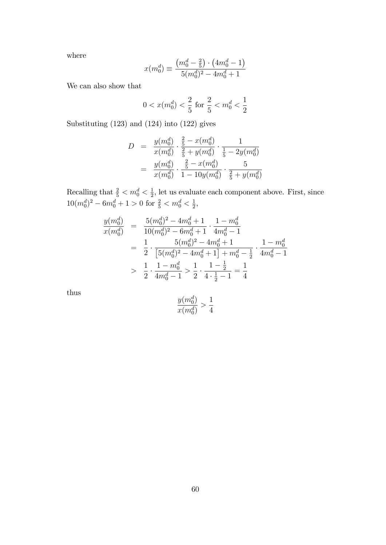where

$$
x(m_0^d)\equiv \frac{\left(m_0^d-\frac{2}{5}\right)\cdot \left(4m_0^d-1\right)}{5(m_0^d)^2-4m_0^d+1}
$$

We can also show that

$$
0 < x(m_0^d) < \frac{2}{5} \text{ for } \frac{2}{5} < m_0^d < \frac{1}{2}
$$

Substituting (123) and (124) into (122) gives

$$
D = \frac{y(m_0^d)}{x(m_0^d)} \cdot \frac{\frac{2}{5} - x(m_0^d)}{\frac{2}{5} + y(m_0^d)} \cdot \frac{1}{\frac{1}{5} - 2y(m_0^d)}
$$
  
= 
$$
\frac{y(m_0^d)}{x(m_0^d)} \cdot \frac{\frac{2}{5} - x(m_0^d)}{1 - 10y(m_0^d)} \cdot \frac{5}{\frac{2}{5} + y(m_0^d)}
$$

Recalling that  $\frac{2}{5} < m_0^d < \frac{1}{2}$  $\frac{1}{2}$ , let us evaluate each component above. First, since  $10(m_0^d)^2 - 6m_0^d + 1 > 0$  for  $\frac{2}{5} < m_0^d < \frac{1}{2}$  $\frac{1}{2}$ ,

$$
\frac{y(m_0^d)}{x(m_0^d)} = \frac{5(m_0^d)^2 - 4m_0^d + 1}{10(m_0^d)^2 - 6m_0^d + 1} \cdot \frac{1 - m_0^d}{4m_0^d - 1}
$$
\n
$$
= \frac{1}{2} \cdot \frac{5(m_0^d)^2 - 4m_0^d + 1}{[5(m_0^d)^2 - 4m_0^d + 1] + m_0^d - \frac{1}{2}} \cdot \frac{1 - m_0^d}{4m_0^d - 1}
$$
\n
$$
> \frac{1}{2} \cdot \frac{1 - m_0^d}{4m_0^d - 1} > \frac{1}{2} \cdot \frac{1 - \frac{1}{2}}{4 \cdot \frac{1}{2} - 1} = \frac{1}{4}
$$

thus

$$
\frac{y(m_0^d)}{x(m_0^d)} > \frac{1}{4}
$$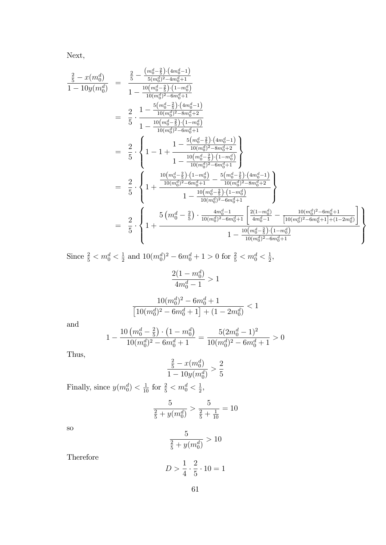Next,

$$
\begin{array}{rcl} \frac{2}{5}-x(m_0^d) & = & \frac{2}{5}-\frac{(m_0^d-\frac{2}{5})\cdot(4m_0^d-1)}{5(m_0^d)^2-4m_0^d+1} \\ \hline 1-10y(m_0^d) & = & \frac{2}{1-\frac{10\left(m_0^d-\frac{2}{5}\right)\cdot(1-m_0^d}{10(m_0^d)^2-6m_0^d+1}} \\ & = & \frac{2}{5}\cdot\frac{1-\frac{5\left(m_0^d-\frac{2}{5}\right)\cdot(4m_0^d-1)}{10(m_0^d)^2-8m_0^d+2}}{1-\frac{10\left(m_0^d-\frac{2}{5}\right)\cdot(1-m_0^d)}{10(m_0^d)^2-6m_0^d+1}} \\ & = & \frac{2}{5}\cdot\left\{1-1+\frac{1-\frac{5\left(m_0^d-\frac{2}{5}\right)\cdot(4m_0^d-1)}{10(m_0^d)^2-8m_0^d+2}}{1-\frac{10\left(m_0^d-\frac{2}{5}\right)\cdot(1-m_0^d\right)}} \\ & = & \frac{2}{5}\cdot\left\{1+\frac{\frac{10\left(m_0^d-\frac{2}{5}\right)\cdot(1-m_0^d)}{10(m_0^d)^2-6m_0^d+1}}{1-\frac{10\left(m_0^d-\frac{2}{5}\right)\cdot(1-m_0^d\right)}} \\ & = & \frac{2}{5}\cdot\left\{1+\frac{\frac{10\left(m_0^d-\frac{2}{5}\right)\cdot(1-m_0^d)}{10(m_0^d)^2-6m_0^d+1} - \frac{5\left(m_0^d-\frac{2}{5}\right)\cdot(4m_0^d-1)}{10(m_0^d)^2-8m_0^d+2}}\right\} \\ & = & \frac{2}{5}\cdot\left\{1+\frac{\frac{5\left(m_0^d-\frac{2}{5}\right)\cdot\frac{1-m_0^d}{10(m_0^d)^2-6m_0^d+1}}{10(m_0^d)^2-6m_0^d+1} - \frac{10\left(m_0^d\right)^2-6m_0^d+1}{10(m_0^d)^2-6m_0^d+1}\right]+(1-2m_0^d)}{10(m_0
$$

Since  $\frac{2}{5} < m_0^d < \frac{1}{2}$  $\frac{1}{2}$  and  $10(m_0^d)^2 - 6m_0^d + 1 > 0$  for  $\frac{2}{5} < m_0^d < \frac{1}{2}$  $\frac{1}{2}$ ,

$$
\frac{2(1-m_0^d)}{4m_0^d-1} > 1
$$

$$
\frac{10(m_0^d)^2-6m_0^d+1}{\left[10(m_0^d)^2-6m_0^d+1\right]+(1-2m_0^d)}<1
$$

and

$$
1-\frac{10\left(m_0^d-\frac{2}{5}\right)\cdot\left(1-m_0^d\right)}{10(m_0^d)^2-6m_0^d+1}=\frac{5(2m_0^d-1)^2}{10(m_0^d)^2-6m_0^d+1}>0
$$

Thus,

$$
\frac{\frac{2}{5} - x(m_0^d)}{1 - 10y(m_0^d)} > \frac{2}{5}
$$

Finally, since  $y(m_0^d) < \frac{1}{10}$  for  $\frac{2}{5} < m_0^d < \frac{1}{2}$  $\frac{1}{2}$ ,

$$
\frac{5}{\frac{2}{5} + y(m_0^d)} > \frac{5}{\frac{2}{5} + \frac{1}{10}} = 10
$$

so

$$
\frac{5}{\frac{2}{5} + y(m_0^d)} > 10
$$

Therefore

$$
D > \frac{1}{4} \cdot \frac{2}{5} \cdot 10 = 1
$$